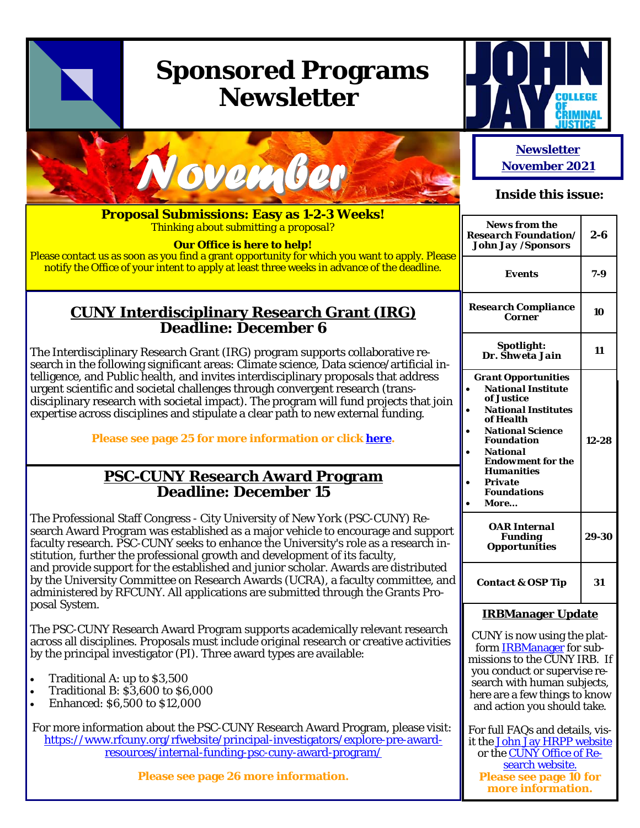# **Sponsored Programs Newsletter**





**Proposal Submissions: Easy as 1-2-3 Weeks!**  *Thinking about submitting a proposal?* 

**Our Office is here to help!** 

Please contact us as soon as you find a grant opportunity for which you want to apply. Please notify the Office of your intent to apply at least three weeks in advance of the deadline.

### **CUNY Interdisciplinary Research Grant (IRG) Deadline: December 6**

The Interdisciplinary Research Grant (IRG) program supports collaborative research in the following significant areas: Climate science, Data science/artificial intelligence, and Public health, and invites interdisciplinary proposals that address urgent scientific and societal challenges through convergent research (transdisciplinary research with societal impact). The program will fund projects that join expertise across disciplines and stipulate a clear path to new external funding.

**Please see page 25 for more information or click here.** 

### **PSC-CUNY Research Award Program Deadline: December 15**

The Professional Staff Congress - City University of New York (PSC-CUNY) Research Award Program was established as a major vehicle to encourage and support faculty research. PSC-CUNY seeks to enhance the University's role as a research institution, further the professional growth and development of its faculty, and provide support for the established and junior scholar. Awards are distributed by the University Committee on Research Awards (UCRA), a faculty committee, and administered by RFCUNY. All applications are submitted through the Grants Proposal System.

The PSC-CUNY Research Award Program supports academically relevant research across all disciplines. Proposals must include original research or creative activities by the principal investigator (PI). Three award types are available:

- Traditional A: up to \$3,500
- Traditional B: \$3,600 to \$6,000
- Enhanced: \$6,500 to \$12,000

For more information about the PSC-CUNY Research Award Program, please visit: https://www.rfcuny.org/rfwebsite/principal-investigators/explore-pre-awardresources/internal-funding-psc-cuny-award-program/

**Please see page 26 more information.** 

### **Newsletter November 2021**

### **Inside this issue:**

| <b>News from the</b><br><b>Research Foundation/</b><br>John Jay /Sponsors                                                                                                                                                                                                            | 2-6   |
|--------------------------------------------------------------------------------------------------------------------------------------------------------------------------------------------------------------------------------------------------------------------------------------|-------|
| Events                                                                                                                                                                                                                                                                               | $7-9$ |
| <b>Research Compliance</b><br><b>Corner</b>                                                                                                                                                                                                                                          | 10    |
| Spotlight:<br>Dr. Shweta Jain                                                                                                                                                                                                                                                        | 11    |
| <b>Grant Opportunities</b><br><b>National Institute</b><br>of Justice<br><b>National Institutes</b><br>of Health<br><b>National Science</b><br><b>Foundation</b><br><b>National</b><br><b>Endowment for the</b><br><b>Humanities</b><br><b>Private</b><br><b>Foundations</b><br>More | 12-28 |
| <b>OAR</b> Internal<br><b>Funding</b><br><i><b>Opportunities</b></i>                                                                                                                                                                                                                 | 29-30 |
| <b>Contact &amp; OSP Tip</b>                                                                                                                                                                                                                                                         | 31    |
|                                                                                                                                                                                                                                                                                      |       |

### **IRBManager Update**

CUNY is now using the platform IRBManager for submissions to the CUNY IRB. If you conduct or supervise research with human subjects, here are a few things to know and action you should take.

For full FAQs and details, visit the John Jay HRPP website or the CUNY Office of Research website. **Please see page 10 for more information.**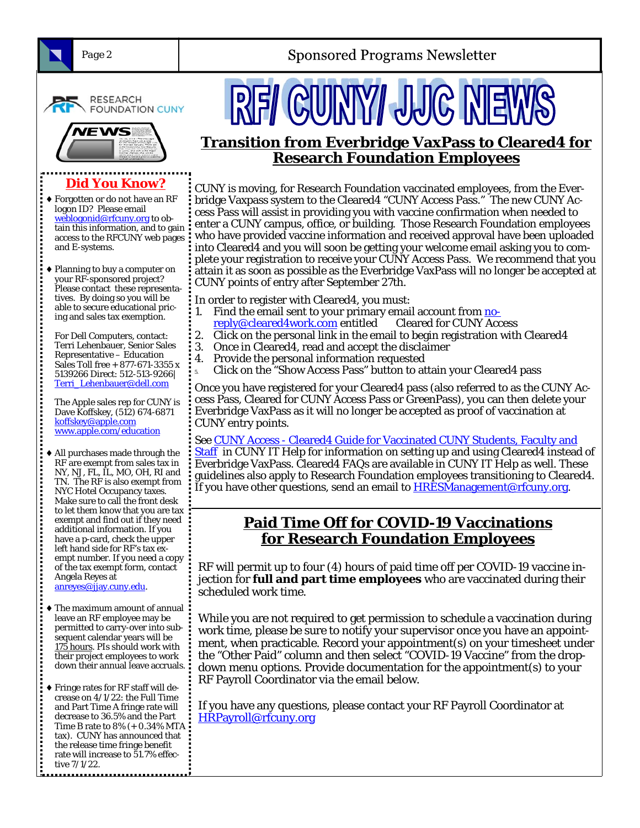**Sponsored Programs Newsletter** 



**RESEARCH FOUNDATION CUNY** 



# **Did You Know?**

Forgotten or do not have an RF logon ID? Please email weblogonid@rfcuny.org to obtain this information, and to gain access to the RFCUNY web pages and E-systems.

*<u>Property Contracts</u>* 

...........

Planning to buy a computer on your RF-sponsored project? Please contact these representatives. By doing so you will be able to secure educational pricing and sales tax exemption.

For Dell Computers, contact: Terri Lehenbauer, Senior Sales Representative – Education Sales Toll free + 877-671-3355 x 5139266 Direct: 512-513-9266| Terri\_Lehenbauer@dell.com

The Apple sales rep for CUNY is Dave Koffskey, (512) 674-6871 koffskey@apple.com www.apple.com/education

- All purchases made through the RF are exempt from sales tax in NY, NJ, FL, IL, MO, OH, RI and TN. The RF is also exempt from NYC Hotel Occupancy taxes. Make sure to call the front desk to let them know that you are tax exempt and find out if they need additional information. If you have a p-card, check the upper left hand side for RF's tax exempt number. If you need a copy of the tax exempt form, contact Angela Reyes at anreyes@jjay.cuny.edu.
- The maximum amount of annual leave an RF employee may be permitted to carry-over into subsequent calendar years will be 175 hours. PIs should work with their project employees to work down their annual leave accruals.
- Fringe rates for RF staff will decrease on 4/1/22: the Full Time and Part Time A fringe rate will decrease to 36.5% and the Part Time B rate to 8% (+ 0.34% MTA tax). CUNY has announced that the release time fringe benefit rate will increase to 51.7% effective 7/1/22.



## **Transition from Everbridge VaxPass to Cleared4 for Research Foundation Employees**

CUNY is moving, for Research Foundation vaccinated employees, from the Everbridge Vaxpass system to the Cleared4 "CUNY Access Pass." The new CUNY Access Pass will assist in providing you with vaccine confirmation when needed to enter a CUNY campus, office, or building. Those Research Foundation employees who have provided vaccine information and received approval have been uploaded into Cleared4 and you will soon be getting your welcome email asking you to complete your registration to receive your CUNY Access Pass. We recommend that you attain it as soon as possible as the Everbridge VaxPass will no longer be accepted at CUNY points of entry after September 27th.

In order to register with Cleared4, you must:

- 1. Find the email sent to your primary email account from no-
- reply@cleared4work.com entitled Cleared for CUNY Access
- 2. Click on the personal link in the email to begin registration with Cleared 4
- 3. Once in Cleared4, read and accept the disclaimer
- 4. Provide the personal information requested
- 5. Click on the "Show Access Pass" button to attain your Cleared4 pass

Once you have registered for your Cleared4 pass (also referred to as the CUNY Access Pass, Cleared for CUNY Access Pass or GreenPass), you can then delete your Everbridge VaxPass as it will no longer be accepted as proof of vaccination at CUNY entry points.

See CUNY Access - Cleared4 Guide for Vaccinated CUNY Students, Faculty and Staff in CUNY IT Help for information on setting up and using Cleared4 instead of Everbridge VaxPass. Cleared4 FAQs are available in CUNY IT Help as well. These guidelines also apply to Research Foundation employees transitioning to Cleared4. If you have other questions, send an email to **HRESManagement@rfcuny.org.** 

## **Paid Time Off for COVID-19 Vaccinations for Research Foundation Employees**

RF will permit up to four (4) hours of paid time off per COVID-19 vaccine injection for **full and part time employees** who are vaccinated during their scheduled work time.

While you are not required to get permission to schedule a vaccination during work time, please be sure to notify your supervisor once you have an appointment, when practicable. Record your appointment(s) on your timesheet under the "Other Paid" column and then select "COVID-19 Vaccine" from the dropdown menu options. Provide documentation for the appointment(s) to your RF Payroll Coordinator via the email below.

If you have any questions, please contact your RF Payroll Coordinator at HRPayroll@rfcuny.org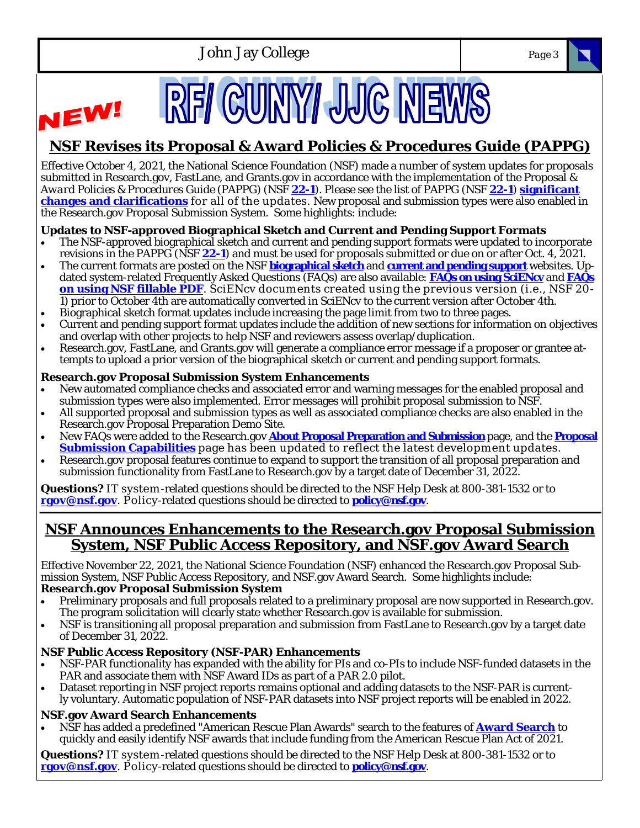

# **NSF Revises its Proposal & Award Policies & Procedures Guide (PAPPG)**

Effective October 4, 2021, the National Science Foundation (NSF) made a number of system updates for proposals submitted in Research.gov, FastLane, and Grants.gov in accordance with the implementation of the *Proposal & Award Policies & Procedures Guide* (PAPPG) (NSF **22-1**). Please see the list of PAPPG (NSF **22-1**) **significant changes and clarifications** for all of the updates. New proposal and submission types were also enabled in the Research.gov Proposal Submission System. Some highlights: include:

### **Updates to NSF-approved Biographical Sketch and Current and Pending Support Formats**

- The NSF-approved biographical sketch and current and pending support formats were updated to incorporate revisions in the PAPPG (NSF **22-1**) and must be used for proposals submitted or due on or after Oct. 4, 2021.
- The current formats are posted on the NSF **biographical sketch** and **current and pending support** websites. Updated system-related Frequently Asked Questions (FAQs) are also available: **FAQs on using SciENcv** and **FAQs on using NSF fillable PDF**. SciENcv documents created using the previous version (i.e., NSF 20- 1) prior to October 4th are automatically converted in SciENcv to the current version after October 4th.
- Biographical sketch format updates include increasing the page limit from two to three pages.
- Current and pending support format updates include the addition of new sections for information on objectives and overlap with other projects to help NSF and reviewers assess overlap/duplication.
- Research.gov, FastLane, and Grants.gov will generate a compliance error message if a proposer or grantee attempts to upload a prior version of the biographical sketch or current and pending support formats.

#### **Research.gov Proposal Submission System Enhancements**

NEW!

- New automated compliance checks and associated error and warning messages for the enabled proposal and submission types were also implemented. Error messages will prohibit proposal submission to NSF.
- All supported proposal and submission types as well as associated compliance checks are also enabled in the Research.gov Proposal Preparation Demo Site.
- New FAQs were added to the Research.gov **About Proposal Preparation and Submission** page, and the **Proposal Submission Capabilities** page has been updated to reflect the latest development updates.
- Research.gov proposal features continue to expand to support the transition of all proposal preparation and submission functionality from FastLane to Research.gov by a target date of December 31, 2022.

**Questions?** IT system -related questions should be directed to the NSF Help Desk at 800-381-1532 or to **rgov@nsf.gov**. Policy-related questions should be directed to **policy@nsf.gov**.

### **NSF Announces Enhancements to the Research.gov Proposal Submission System, NSF Public Access Repository, and NSF.gov Award Search**

Effective November 22, 2021, the National Science Foundation (NSF) enhanced the Research.gov Proposal Submission System, NSF Public Access Repository, and NSF.gov Award Search. Some highlights include: **Research.gov Proposal Submission System** 

#### Preliminary proposals and full proposals related to a preliminary proposal are now supported in Research.gov. The program solicitation will clearly state whether Research.gov is available for submission.

 NSF is transitioning all proposal preparation and submission from FastLane to Research.gov by a target date of December 31, 2022.

#### **NSF Public Access Repository (NSF-PAR) Enhancements**

- NSF-PAR functionality has expanded with the ability for PIs and co-PIs to include NSF-funded datasets in the PAR and associate them with NSF Award IDs as part of a PAR 2.0 pilot.
- Dataset reporting in NSF project reports remains optional and adding datasets to the NSF-PAR is currently voluntary. Automatic population of NSF-PAR datasets into NSF project reports will be enabled in 2022.

#### **NSF.gov Award Search Enhancements**

 NSF has added a predefined "American Rescue Plan Awards" search to the features of **Award Search** to quickly and easily identify NSF awards that include funding from the American Rescue Plan Act of 2021.

**Questions?** IT system -related questions should be directed to the NSF Help Desk at 800-381-1532 or to **rgov@nsf.gov**. Policy-related questions should be directed to **policy@nsf.gov**.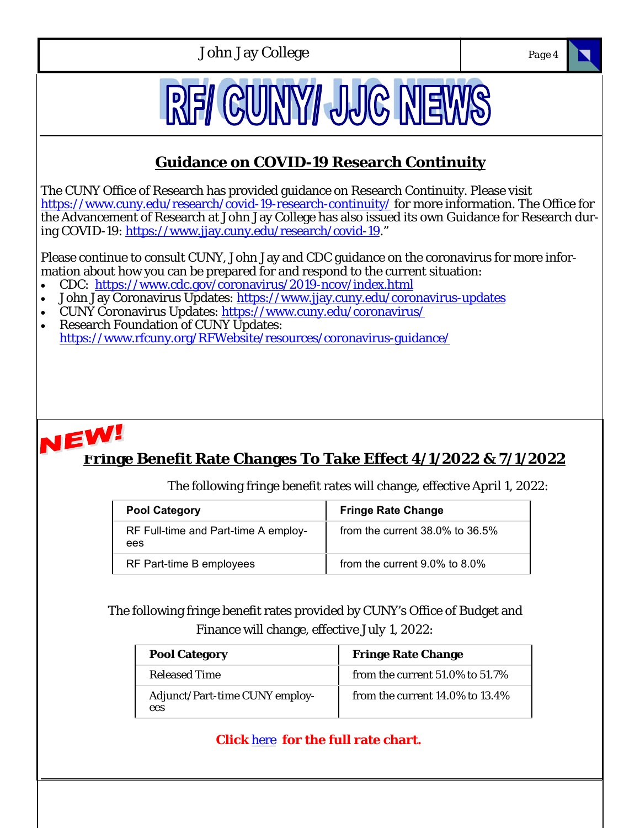

## **Click** here **for the full rate chart.**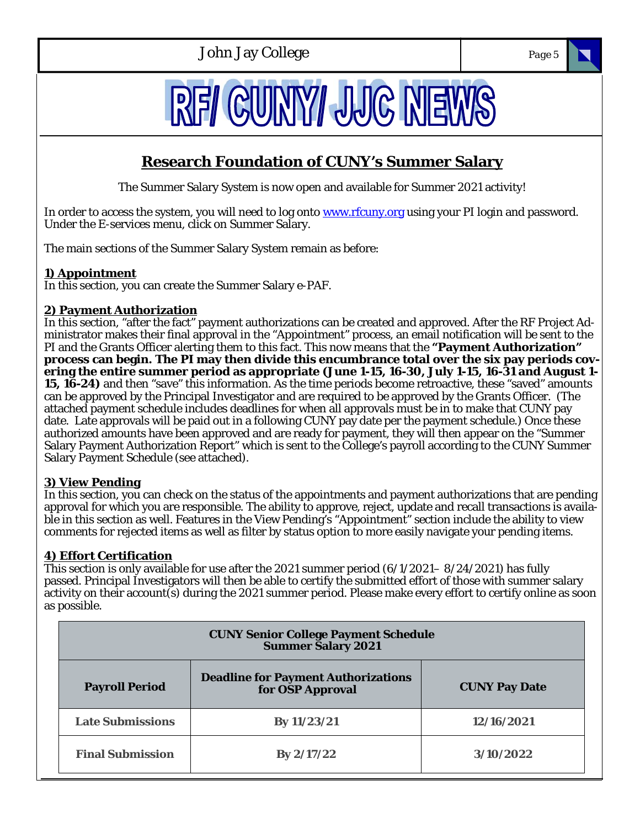

# **Research Foundation of CUNY's Summer Salary**

The Summer Salary System is now open and available for Summer 2021 activity!

In order to access the system, you will need to log onto www.rfcuny.org using your PI login and password. Under the E-services menu, click on Summer Salary.

The main sections of the Summer Salary System remain as before:

### **1) Appointment**

In this section, you can create the Summer Salary e-PAF.

#### **2) Payment Authorization**

In this section, "after the fact" payment authorizations can be created and approved. After the RF Project Administrator makes their final approval in the "Appointment" process, an email notification will be sent to the PI and the Grants Officer alerting them to this fact. This now means that the **"Payment Authorization" process can begin. The PI may then divide this encumbrance total over the six pay periods covering the entire summer period as appropriate (June 1-15, 16-30, July 1-15, 16-31 and August 1- 15, 16-24)** and then "save" this information. As the time periods become retroactive, these "saved" amounts can be approved by the Principal Investigator and are required to be approved by the Grants Officer. (The attached payment schedule includes deadlines for when all approvals must be in to make that CUNY pay date. Late approvals will be paid out in a following CUNY pay date per the payment schedule.) Once these authorized amounts have been approved and are ready for payment, they will then appear on the "Summer Salary Payment Authorization Report" which is sent to the College's payroll according to the CUNY Summer Salary Payment Schedule (see attached).

### **3) View Pending**

In this section, you can check on the status of the appointments and payment authorizations that are pending approval for which you are responsible. The ability to approve, reject, update and recall transactions is available in this section as well. Features in the View Pending's "Appointment" section include the ability to view comments for rejected items as well as filter by status option to more easily navigate your pending items.

#### **4) Effort Certification**

This section is only available for use after the 2021 summer period (6/1/2021– 8/24/2021) has fully passed. Principal Investigators will then be able to certify the submitted effort of those with summer salary activity on their account(s) during the 2021 summer period. Please make every effort to certify online as soon as possible.

| <b>CUNY Senior College Payment Schedule</b><br><b>Summer Salary 2021</b> |                                                                 |                      |
|--------------------------------------------------------------------------|-----------------------------------------------------------------|----------------------|
| <b>Payroll Period</b>                                                    | <b>Deadline for Payment Authorizations<br/>for OSP Approval</b> | <b>CUNY Pay Date</b> |
| <b>Late Submissions</b>                                                  | By 11/23/21                                                     | 12/16/2021           |
| <b>Final Submission</b>                                                  | By $2/17/22$                                                    | 3/10/2022            |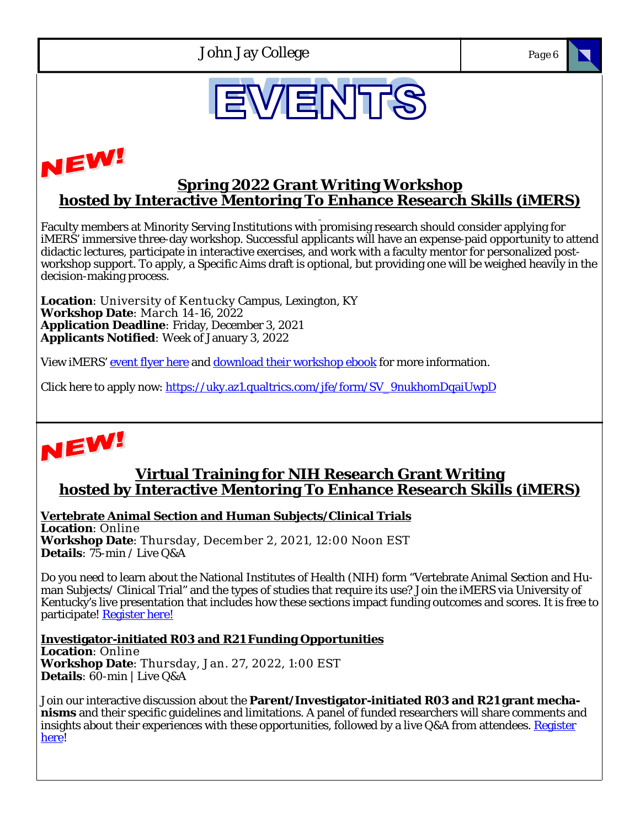



### **Spring 2022 Grant Writing Workshop hosted by Interactive Mentoring To Enhance Research Skills (iMERS)**

 Faculty members at Minority Serving Institutions with promising research should consider applying for iMERS' immersive three-day workshop. Successful applicants will have an expense-paid opportunity to attend didactic lectures, participate in interactive exercises, and work with a faculty mentor for personalized postworkshop support. To apply, a Specific Aims draft is optional, but providing one will be weighed heavily in the decision-making process.

**Location**: University of Kentucky Campus, Lexington, KY **Workshop Date**: March 14-16, 2022 **Application Deadline**: Friday, December 3, 2021 **Applicants Notified**: Week of January 3, 2022

View iMERS' event flyer here and download their workshop ebook for more information.

Click here to apply now: https://uky.az1.qualtrics.com/jfe/form/SV\_9nukhomDqaiUwpD



l

## **Virtual Training for NIH Research Grant Writing hosted by Interactive Mentoring To Enhance Research Skills (iMERS)**

**Vertebrate Animal Section and Human Subjects/Clinical Trials Location**: Online **Workshop Date**: Thursday, December 2, 2021, 12:00 Noon EST **Details**: 75-min / Live Q&A

Do you need to learn about the National Institutes of Health (NIH) form "Vertebrate Animal Section and Human Subjects/ Clinical Trial" and the types of studies that require its use? Join the iMERS via University of Kentucky's live presentation that includes how these sections impact funding outcomes and scores. It is free to participate! Register here!

**Investigator-initiated R03 and R21 Funding Opportunities Location**: Online **Workshop Date**: Thursday, Jan. 27, 2022, 1:00 EST **Details**: 60-min | Live Q&A

Join our interactive discussion about the **Parent/Investigator-initiated R03 and R21 grant mechanisms** and their specific guidelines and limitations. A panel of funded researchers will share comments and insights about their experiences with these opportunities, followed by a live Q&A from attendees. Register here!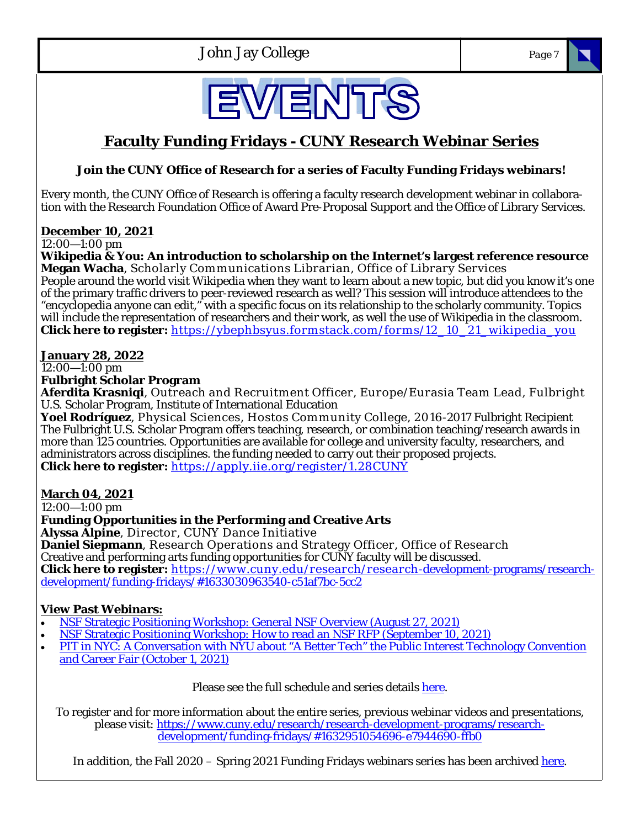



## **Faculty Funding Fridays - CUNY Research Webinar Series**

### **Join the CUNY Office of Research for a series of Faculty Funding Fridays webinars!**

Every month, the CUNY Office of Research is offering a faculty research development webinar in collaboration with the Research Foundation Office of Award Pre-Proposal Support and the Office of Library Services.

#### **December 10, 2021**

12:00—1:00 pm

**Wikipedia & You: An introduction to scholarship on the Internet's largest reference resource Megan Wacha**, Scholarly Communications Librarian, Office of Library Services People around the world visit Wikipedia when they want to learn about a new topic, but did you know it's one of the primary traffic drivers to peer-reviewed research as well? This session will introduce attendees to the "encyclopedia anyone can edit," with a specific focus on its relationship to the scholarly community. Topics will include the representation of researchers and their work, as well the use of Wikipedia in the classroom. **Click here to register:** https://ybephbsyus.formstack.com/forms/12\_10\_21\_wikipedia\_you

#### **January 28, 2022**

12:00—1:00 pm

**Fulbright Scholar Program** 

**Aferdita Krasniqi**, Outreach and Recruitm ent Officer, Europe/Eurasia Team Lead, Fulbright U.S. Scholar Program, Institute of International Education

**Yoel Rodríguez**, Physical Sciences, Hostos Com m unity College, 2016-2017 Fulbright Recipient The Fulbright U.S. Scholar Program offers teaching, research, or combination teaching/research awards in more than 125 countries. Opportunities are available for college and university faculty, researchers, and administrators across disciplines. the funding needed to carry out their proposed projects. **Click here to register:** https://apply.iie.org/register/1.28CUNY

#### **March 04, 2021**

12:00—1:00 pm

### **Funding Opportunities in the Performing and Creative Arts**

**Alyssa Alpine**, Director, CUNY Dance Initiative

**Daniel Siepmann**, Research Operations and Strategy Officer, Office of Research Creative and performing arts funding opportunities for CUNY faculty will be discussed. **Click here to register:** https://w w w .cuny.edu/research/research-development-programs/researchdevelopment/funding-fridays/#1633030963540-c51af7bc-5cc2

### **View Past Webinars:**

- NSF Strategic Positioning Workshop: General NSF Overview (August 27, 2021)
- NSF Strategic Positioning Workshop: How to read an NSF RFP (September 10, 2021)
- PIT in NYC: A Conversation with NYU about "A Better Tech" the Public Interest Technology Convention and Career Fair (October 1, 2021)

Please see the full schedule and series details here.

To register and for more information about the entire series, previous webinar videos and presentations, please visit: https://www.cuny.edu/research/research-development-programs/researchdevelopment/funding-fridays/#1632951054696-e7944690-ffb0

In addition, the Fall 2020 – Spring 2021 Funding Fridays webinars series has been archived here.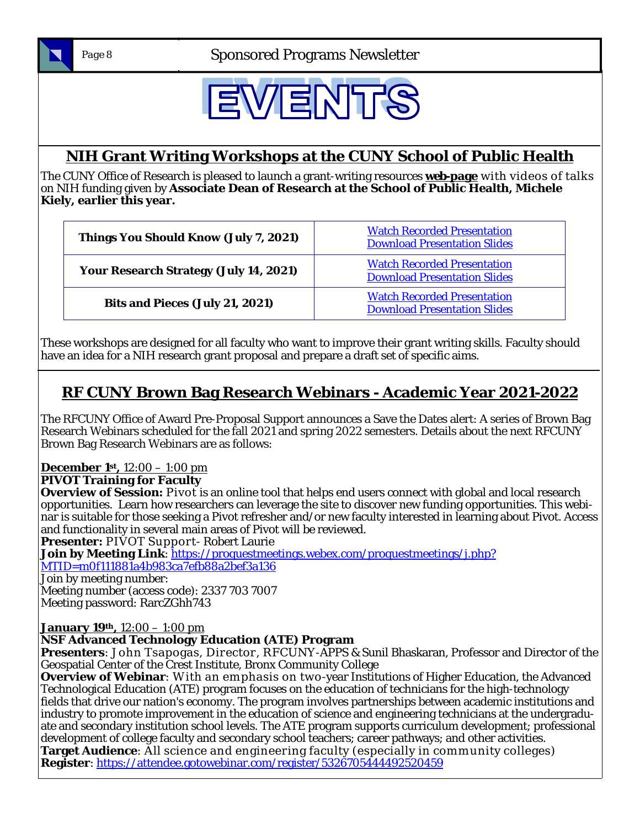

*Page 8* Sponsored Programs Newsletter



# **NIH Grant Writing Workshops at the CUNY School of Public Health**

The CUNY Office of Research is pleased to launch a grant-writing resources **web-page** with videos of talks on NIH funding given by **Associate Dean of Research at the School of Public Health, Michele Kiely, earlier this year.** 

| Things You Should Know (July 7, 2021)         | <b>Watch Recorded Presentation</b><br><b>Download Presentation Slides</b> |
|-----------------------------------------------|---------------------------------------------------------------------------|
| <b>Your Research Strategy (July 14, 2021)</b> | <b>Watch Recorded Presentation</b><br><b>Download Presentation Slides</b> |
| Bits and Pieces (July 21, 2021)               | <b>Watch Recorded Presentation</b><br><b>Download Presentation Slides</b> |

These workshops are designed for all faculty who want to improve their grant writing skills. Faculty should have an idea for a NIH research grant proposal and prepare a draft set of specific aims.

# **RF CUNY Brown Bag Research Webinars - Academic Year 2021-2022**

The RFCUNY Office of Award Pre-Proposal Support announces a Save the Dates alert: A series of Brown Bag Research Webinars scheduled for the fall 2021 and spring 2022 semesters. Details about the next RFCUNY Brown Bag Research Webinars are as follows:

# **December 1st,** 12:00 – 1:00 pm

**PIVOT Training for Faculty** 

**Overview of Session:** Pivot is an online tool that helps end users connect with global and local research opportunities. Learn how researchers can leverage the site to discover new funding opportunities. This webinar is suitable for those seeking a Pivot refresher and/or new faculty interested in learning about Pivot. Access and functionality in several main areas of Pivot will be reviewed.

**Presenter:** PIVOT Support- Robert Laurie

**Join by Meeting Link**: https://proquestmeetings.webex.com/proquestmeetings/j.php? MTID=m0f111881a4b983ca7efb88a2bef3a136

Join by meeting number:

Meeting number (access code): 2337 703 7007 Meeting password: RarcZGhh743

**January 19th,** 12:00 – 1:00 pm

### **NSF Advanced Technology Education (ATE) Program**

**Presenters**: John Tsapogas, Director, RFCUNY-APPS & Sunil Bhaskaran, Professor and Director of the Geospatial Center of the Crest Institute, Bronx Community College

**Overview of Webinar**: With an emphasis on two-year Institutions of Higher Education, the Advanced Technological Education (ATE) program focuses on the education of technicians for the high-technology fields that drive our nation's economy. The program involves partnerships between academic institutions and industry to promote improvement in the education of science and engineering technicians at the undergraduate and secondary institution school levels. The ATE program supports curriculum development; professional development of college faculty and secondary school teachers; career pathways; and other activities. **Target Audience**: All science and engineering faculty (especially in community colleges)

**Register**: https://attendee.gotowebinar.com/register/5326705444492520459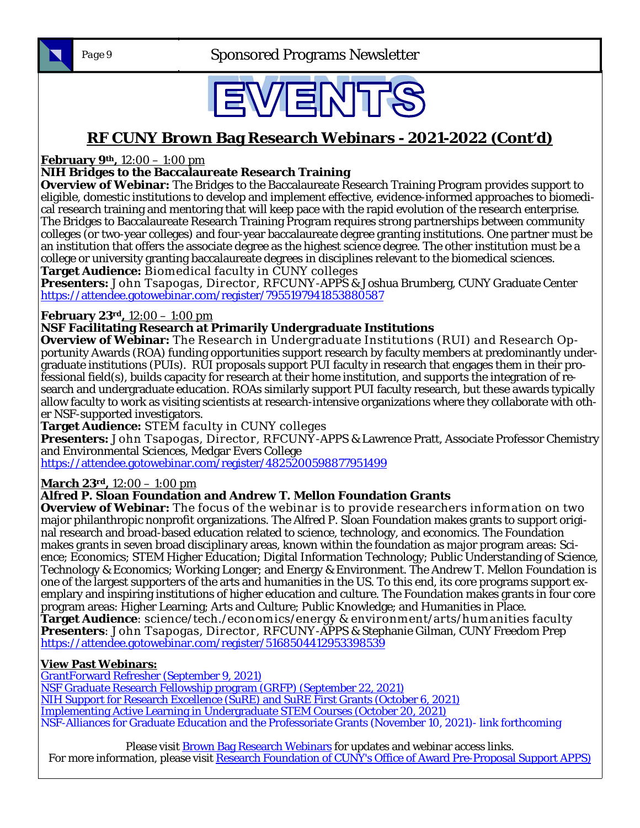

*Page 9* Sponsored Programs Newsletter



## **RF CUNY Brown Bag Research Webinars - 2021-2022 (Cont'd)**

**February 9th,** 12:00 – 1:00 pm

#### **NIH Bridges to the Baccalaureate Research Training**

**Overview of Webinar:** The Bridges to the Baccalaureate Research Training Program provides support to eligible, domestic institutions to develop and implement effective, evidence-informed approaches to biomedical research training and mentoring that will keep pace with the rapid evolution of the research enterprise. The Bridges to Baccalaureate Research Training Program requires strong partnerships between community colleges (or two-year colleges) and four-year baccalaureate degree granting institutions. One partner must be an institution that offers the associate degree as the highest science degree. The other institution must be a college or university granting baccalaureate degrees in disciplines relevant to the biomedical sciences. **Target Audience:** Biomedical faculty in CUNY colleges

**Presenters:** John Tsapogas, Director, RFCUNY-APPS & Joshua Brumberg, CUNY Graduate Center https://attendee.gotowebinar.com/register/7955197941853880587

#### **February 23rd,** 12:00 – 1:00 pm

#### **NSF Facilitating Research at Primarily Undergraduate Institutions**

**Overview of Webinar:** The Research in Undergraduate Institutions (RUI) and Research Opportunity Awards (ROA) funding opportunities support research by faculty members at predominantly undergraduate institutions (PUIs). RUI proposals support PUI faculty in research that engages them in their professional field(s), builds capacity for research at their home institution, and supports the integration of research and undergraduate education. ROAs similarly support PUI faculty research, but these awards typically allow faculty to work as visiting scientists at research-intensive organizations where they collaborate with other NSF-supported investigators.

**Target Audience:** STEM faculty in CUNY colleges

**Presenters:** John Tsapogas, Director, RFCUNY-APPS & Lawrence Pratt, Associate Professor Chemistry and Environmental Sciences, Medgar Evers College

https://attendee.gotowebinar.com/register/4825200598877951499

**March 23rd,** 12:00 – 1:00 pm

#### **Alfred P. Sloan Foundation and Andrew T. Mellon Foundation Grants**

**Overview of Webinar:** The focus of the webinar is to provide researchers information on two major philanthropic nonprofit organizations. The Alfred P. Sloan Foundation makes grants to support original research and broad-based education related to science, technology, and economics. The Foundation makes grants in seven broad disciplinary areas, known within the foundation as major program areas: Science; Economics; STEM Higher Education; Digital Information Technology; Public Understanding of Science, Technology & Economics; Working Longer; and Energy & Environment. The Andrew T. Mellon Foundation is one of the largest supporters of the arts and humanities in the US. To this end, its core programs support exemplary and inspiring institutions of higher education and culture. The Foundation makes grants in four core program areas: Higher Learning; Arts and Culture; Public Knowledge; and Humanities in Place. **Target Audience**: science/tech./econom ics/energy & environm ent/arts/hum anities faculty **Presenters**: John Tsapogas, Director, RFCUNY-APPS & Stephanie Gilman, CUNY Freedom Prep https://attendee.gotowebinar.com/register/5168504412953398539

#### **View Past Webinars:**

GrantForward Refresher (September 9, 2021)

NSF Graduate Research Fellowship program (GRFP) (September 22, 2021)

NIH Support for Research Excellence (SuRE) and SuRE First Grants (October 6, 2021)

Implementing Active Learning in Undergraduate STEM Courses (October 20, 2021)

NSF-Alliances for Graduate Education and the Professoriate Grants (November 10, 2021)- link forthcoming

Please visit **Brown Bag Research Webinars** for updates and webinar access links. For more information, please visit Research Foundation of CUNY's Office of Award Pre-Proposal Support APPS)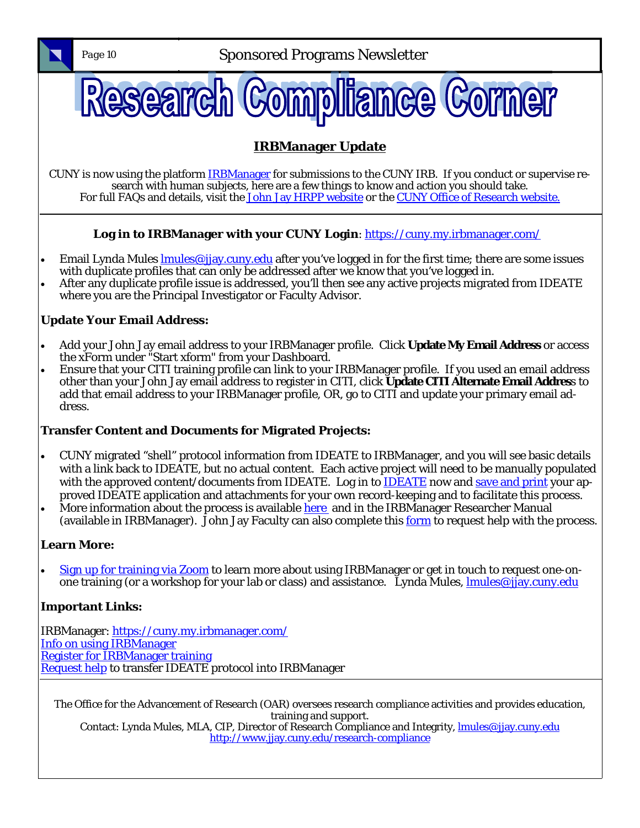*Page 10* **Sponsored Programs Newsletter** 



CUNY is now using the platform **IRBManager** for submissions to the CUNY IRB. If you conduct or supervise research with human subjects, here are a few things to know and action you should take. For full FAQs and details, visit the John Jay HRPP website or the CUNY Office of Research website.

### Log in to IRBManager with your CUNY Login: https://cuny.my.irbmanager.com/

- Email Lynda Mules *lmules@jjay.cuny.edu* after you've logged in for the first time; there are some issues with duplicate profiles that can only be addressed after we know that you've logged in.
- After any duplicate profile issue is addressed, you'll then see any active projects migrated from IDEATE where you are the Principal Investigator or Faculty Advisor.

### **Update Your Email Address:**

- Add your John Jay email address to your IRBManager profile. Click **Update My Email Address** or access the xForm under "Start xform" from your Dashboard.
- Ensure that your CITI training profile can link to your IRBManager profile. If you used an email address other than your John Jay email address to register in CITI, click **Update CITI Alternate Email Addres**s to add that email address to your IRBManager profile, OR, go to CITI and update your primary email address.

### **Transfer Content and Documents for Migrated Projects:**

- CUNY migrated "shell" protocol information from IDEATE to IRBManager, and you will see basic details with a link back to IDEATE, but no actual content. Each active project will need to be manually populated with the approved content/documents from IDEATE. Log in to IDEATE now and save and print your approved IDEATE application and attachments for your own record-keeping and to facilitate this process.
- More information about the process is available here and in the IRBManager Researcher Manual (available in IRBManager). John Jay Faculty can also complete this form to request help with the process.

### **Learn More:**

 Sign up for training via Zoom to learn more about using IRBManager or get in touch to request one-onone training (or a workshop for your lab or class) and assistance. Lynda Mules, **lmules@jjay.cuny.edu** 

### **Important Links:**

IRBManager: https://cuny.my.irbmanager.com/ Info on using IRBManager Register for IRBManager training Request help to transfer IDEATE protocol into IRBManager

The Office for the Advancement of Research (OAR) oversees research compliance activities and provides education, training and support. Contact: Lynda Mules, MLA, CIP, Director of Research Compliance and Integrity, *Imules@jjay.cuny.edu* http://www.jjay.cuny.edu/research-compliance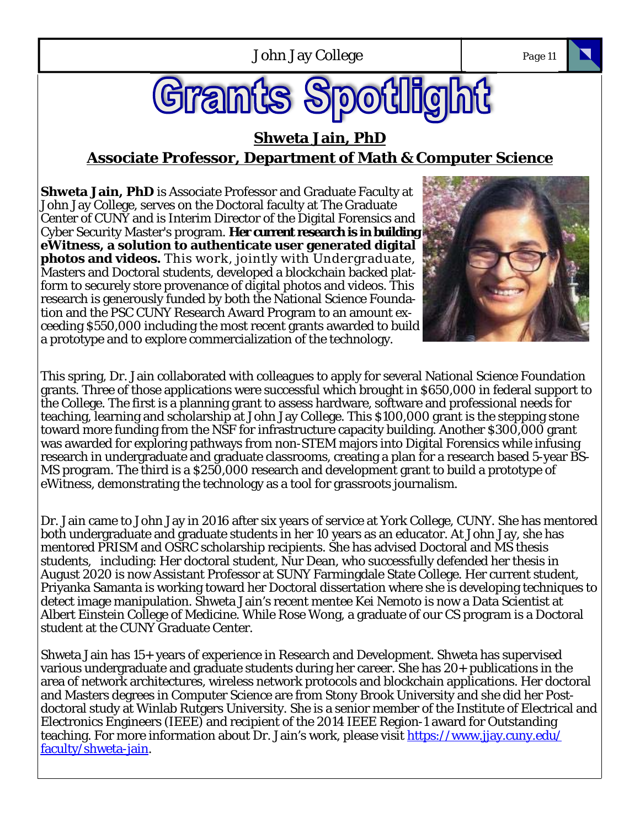# Grant **potlight**

### **Shweta Jain, PhD Associate Professor, Department of Math & Computer Science**

**Shweta Jain, PhD** is Associate Professor and Graduate Faculty at John Jay College, serves on the Doctoral faculty at The Graduate Center of CUNY and is Interim Director of the Digital Forensics and Cyber Security Master's program. **Her current research is in building eWitness, a solution to authenticate user generated digital photos and videos.** This work, jointly with Undergraduate, Masters and Doctoral students, developed a blockchain backed platform to securely store provenance of digital photos and videos. This research is generously funded by both the National Science Foundation and the PSC CUNY Research Award Program to an amount exceeding \$550,000 including the most recent grants awarded to build a prototype and to explore commercialization of the technology.



This spring, Dr. Jain collaborated with colleagues to apply for several National Science Foundation grants. Three of those applications were successful which brought in \$650,000 in federal support to the College. The first is a planning grant to assess hardware, software and professional needs for teaching, learning and scholarship at John Jay College. This \$100,000 grant is the stepping stone toward more funding from the NSF for infrastructure capacity building. Another \$300,000 grant was awarded for exploring pathways from non-STEM majors into Digital Forensics while infusing research in undergraduate and graduate classrooms, creating a plan for a research based 5-year BS-MS program. The third is a \$250,000 research and development grant to build a prototype of eWitness, demonstrating the technology as a tool for grassroots journalism.

Dr. Jain came to John Jay in 2016 after six years of service at York College, CUNY. She has mentored both undergraduate and graduate students in her 10 years as an educator. At John Jay, she has mentored PRISM and OSRC scholarship recipients. She has advised Doctoral and MS thesis students, including: Her doctoral student, Nur Dean, who successfully defended her thesis in August 2020 is now Assistant Professor at SUNY Farmingdale State College. Her current student, Priyanka Samanta is working toward her Doctoral dissertation where she is developing techniques to detect image manipulation. Shweta Jain's recent mentee Kei Nemoto is now a Data Scientist at Albert Einstein College of Medicine. While Rose Wong, a graduate of our CS program is a Doctoral student at the CUNY Graduate Center.

Shweta Jain has 15+ years of experience in Research and Development. Shweta has supervised various undergraduate and graduate students during her career. She has 20+ publications in the area of network architectures, wireless network protocols and blockchain applications. Her doctoral and Masters degrees in Computer Science are from Stony Brook University and she did her Postdoctoral study at Winlab Rutgers University. She is a senior member of the Institute of Electrical and Electronics Engineers (IEEE) and recipient of the 2014 IEEE Region-1 award for Outstanding teaching. For more information about Dr. Jain's work, please visit https://www.jjay.cuny.edu/ faculty/shweta-jain.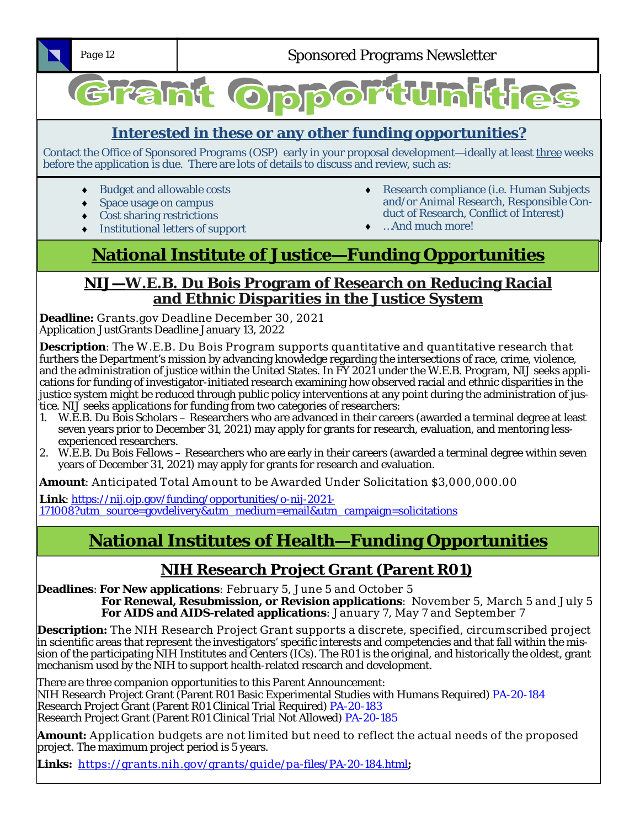

*Page 12* **Sponsored Programs Newsletter** 

# Grant Oppor tunities

# **Interested in these or any other funding opportunities?**

Contact the Office of Sponsored Programs (OSP) early in your proposal development—ideally at least three weeks before the application is due. There are lots of details to discuss and review, such as:

- ◆ Budget and allowable costs
- Space usage on campus
- Cost sharing restrictions
- Institutional letters of support
- Research compliance (i.e. Human Subjects and/or Animal Research, Responsible Conduct of Research, Conflict of Interest)
- …And much more!

# **National Institute of Justice—Funding Opportunities**

### **NIJ—W.E.B. Du Bois Program of Research on Reducing Racial and Ethnic Disparities in the Justice System**

**Deadline:** Grants.gov Deadline December 30, 2021 Application JustGrants Deadline January 13, 2022

**Description**: The W.E.B. Du Bois Program supports quantitative and quantitative research that furthers the Department's mission by advancing knowledge regarding the intersections of race, crime, violence, and the administration of justice within the United States. In FY 2021 under the W.E.B. Program, NIJ seeks applications for funding of investigator-initiated research examining how observed racial and ethnic disparities in the justice system might be reduced through public policy interventions at any point during the administration of justice. NIJ seeks applications for funding from two categories of researchers:

- 1. W.E.B. Du Bois Scholars Researchers who are advanced in their careers (awarded a terminal degree at least seven years prior to December 31, 2021) may apply for grants for research, evaluation, and mentoring lessexperienced researchers.
- 2. W.E.B. Du Bois Fellows Researchers who are early in their careers (awarded a terminal degree within seven years of December 31, 2021) may apply for grants for research and evaluation.

**Amount**: Anticipated Total Amount to be Awarded Under Solicitation \$3,000,000.00

**Link**: https://nij.ojp.gov/funding/opportunities/o-nij-2021- 171008?utm\_source=govdelivery&utm\_medium=email&utm\_campaign=solicitations

# **National Institutes of Health—Funding Opportunities**

# **NIH Research Project Grant (Parent R01)**

**Deadlines**: **For New applications**: February 5, June 5 and October 5 **For Renewal, Resubmission, or Revision applications**: November 5, March 5 and July 5 **For AIDS and AIDS-related applications**: January 7, May 7 and September 7

**Description:** The NIH Research Project Grant supports a discrete, specified, circumscribed project in scientific areas that represent the investigators' specific interests and competencies and that fall within the mission of the participating NIH Institutes and Centers (ICs). The R01 is the original, and historically the oldest, grant mechanism used by the NIH to support health-related research and development.

There are three companion opportunities to this Parent Announcement: NIH Research Project Grant (Parent R01 Basic Experimental Studies with Humans Required) PA-20-184 Research Project Grant (Parent R01 Clinical Trial Required) PA-20-183 Research Project Grant (Parent R01 Clinical Trial Not Allowed) PA-20-185

**Amount:** Application budgets are not limited but need to reflect the actual needs of the proposed project. The maximum project period is 5 years.

**Links:** https://grants.nih.gov/grants/guide/pa-files/PA-20-184.html**;**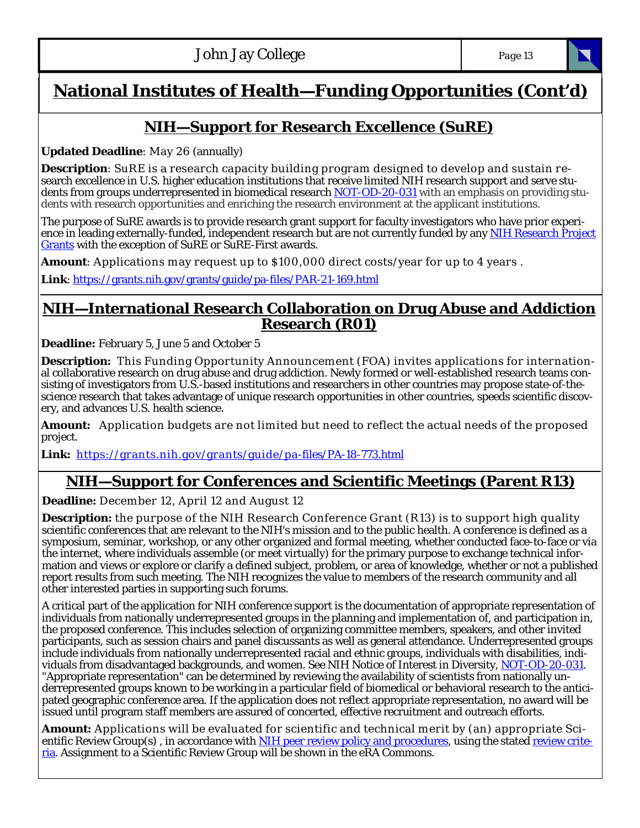# **National Institutes of Health—Funding Opportunities (Cont'd)**

# **NIH—Support for Research Excellence (SuRE)**

**Updated Deadline**: May 26 (annually)

**Description**: SuRE is a research capacity building program designed to develop and sustain research excellence in U.S. higher education institutions that receive limited NIH research support and serve students from groups underrepresented in biomedical research NOT-OD-20-031 with an emphasis on providing students with research opportunities and enriching the research environment at the applicant institutions.

The purpose of SuRE awards is to provide research grant support for faculty investigators who have prior experience in leading externally-funded, independent research but are not currently funded by any NIH Research Project Grants with the exception of SuRE or SuRE-First awards.

**Amount**: Applications m ay request up to \$100,000 direct costs/year for up to 4 years .

**Link**: https://grants.nih.gov/grants/guide/pa-files/PAR-21-169.html

### **NIH—International Research Collaboration on Drug Abuse and Addiction Research (R01)**

**Deadline:** February 5, June 5 and October 5

**Description:** This Funding Opportunity Announcement (FOA) invites applications for international collaborative research on drug abuse and drug addiction. Newly formed or well-established research teams consisting of investigators from U.S.-based institutions and researchers in other countries may propose state-of-thescience research that takes advantage of unique research opportunities in other countries, speeds scientific discovery, and advances U.S. health science.

**Amount:** Application budgets are not limited but need to reflect the actual needs of the proposed project.

**Link:** https://grants.nih.gov/grants/guide/pa-files/PA-18-773.html

# **NIH—Support for Conferences and Scientific Meetings (Parent R13)**

**Deadline:** December 12, April 12 and August 12

**Description:** the purpose of the NIH Research Conference Grant (R13) is to support high quality scientific conferences that are relevant to the NIH's mission and to the public health. A conference is defined as a symposium, seminar, workshop, or any other organized and formal meeting, whether conducted face-to-face or via the internet, where individuals assemble (or meet virtually) for the primary purpose to exchange technical information and views or explore or clarify a defined subject, problem, or area of knowledge, whether or not a published report results from such meeting. The NIH recognizes the value to members of the research community and all other interested parties in supporting such forums.

A critical part of the application for NIH conference support is the documentation of appropriate representation of individuals from nationally underrepresented groups in the planning and implementation of, and participation in, the proposed conference. This includes selection of organizing committee members, speakers, and other invited participants, such as session chairs and panel discussants as well as general attendance. Underrepresented groups include individuals from nationally underrepresented racial and ethnic groups, individuals with disabilities, individuals from disadvantaged backgrounds, and women. See NIH Notice of Interest in Diversity, NOT-OD-20-031. "Appropriate representation" can be determined by reviewing the availability of scientists from nationally underrepresented groups known to be working in a particular field of biomedical or behavioral research to the anticipated geographic conference area. If the application does not reflect appropriate representation, no award will be issued until program staff members are assured of concerted, effective recruitment and outreach efforts.

**Amount:** Applications will be evaluated for scientific and technical merit by (an) appropriate Scientific Review Group(s), in accordance with NIH peer review policy and procedures, using the stated review criteria. Assignment to a Scientific Review Group will be shown in the eRA Commons.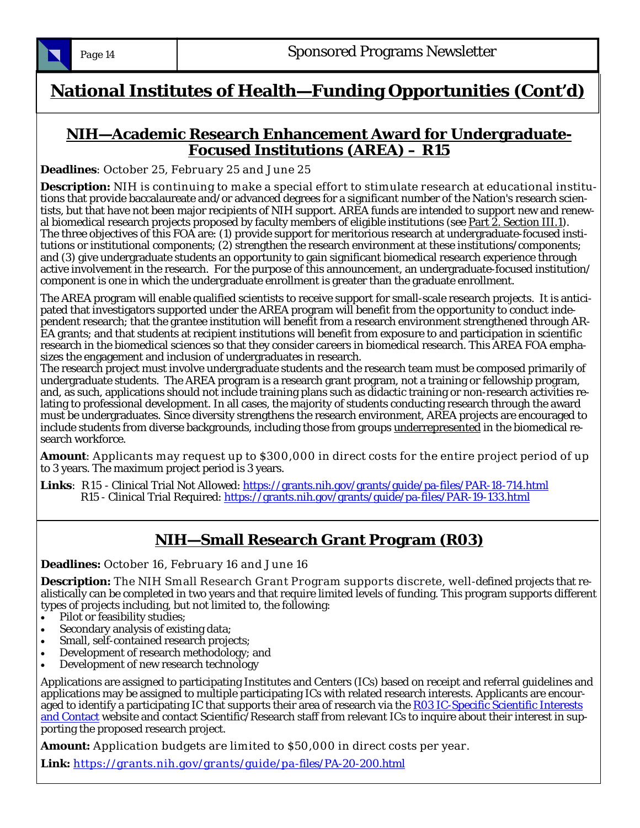

# **National Institutes of Health—Funding Opportunities (Cont'd)**

### **NIH—Academic Research Enhancement Award for Undergraduate-Focused Institutions (AREA) – R15**

**Deadlines**: October 25, February 25 and June 25

**Description:** NIH is continuing to make a special effort to stimulate research at educational institutions that provide baccalaureate and/or advanced degrees for a significant number of the Nation's research scientists, but that have not been major recipients of NIH support. AREA funds are intended to support new and renewal biomedical research projects proposed by faculty members of eligible institutions (see Part 2. Section III.1). The three objectives of this FOA are: (1) provide support for meritorious research at undergraduate-focused institutions or institutional components; (2) strengthen the research environment at these institutions/components; and (3) give undergraduate students an opportunity to gain significant biomedical research experience through active involvement in the research. For the purpose of this announcement, an undergraduate-focused institution/ component is one in which the undergraduate enrollment is greater than the graduate enrollment.

The AREA program will enable qualified scientists to receive support for small-scale research projects. It is anticipated that investigators supported under the AREA program will benefit from the opportunity to conduct independent research; that the grantee institution will benefit from a research environment strengthened through AR-EA grants; and that students at recipient institutions will benefit from exposure to and participation in scientific research in the biomedical sciences so that they consider careers in biomedical research. This AREA FOA emphasizes the engagement and inclusion of undergraduates in research.

The research project must involve undergraduate students and the research team must be composed primarily of undergraduate students. The AREA program is a research grant program, not a training or fellowship program, and, as such, applications should not include training plans such as didactic training or non-research activities relating to professional development. In all cases, the majority of students conducting research through the award must be undergraduates. Since diversity strengthens the research environment, AREA projects are encouraged to include students from diverse backgrounds, including those from groups underrepresented in the biomedical research workforce.

**Amount**: Applicants may request up to \$300,000 in direct costs for the entire project period of up to 3 years. The maximum project period is 3 years.

**Links**: R15 - Clinical Trial Not Allowed: https://grants.nih.gov/grants/guide/pa-files/PAR-18-714.html R15 - Clinical Trial Required: https://grants.nih.gov/grants/guide/pa-files/PAR-19-133.html

# **NIH—Small Research Grant Program (R03)**

**Deadlines:** October 16, February 16 and June 16

**Description:** The NIH Small Research Grant Program supports discrete, well-defined projects that realistically can be completed in two years and that require limited levels of funding. This program supports different types of projects including, but not limited to, the following:

- Pilot or feasibility studies;
- Secondary analysis of existing data;
- Small, self-contained research projects;
- Development of research methodology; and
- Development of new research technology

Applications are assigned to participating Institutes and Centers (ICs) based on receipt and referral guidelines and applications may be assigned to multiple participating ICs with related research interests. Applicants are encouraged to identify a participating IC that supports their area of research via the R03 IC-Specific Scientific Interests and Contact website and contact Scientific/Research staff from relevant ICs to inquire about their interest in supporting the proposed research project.

**Amount:** Application budgets are limited to \$50,000 in direct costs per year.

**Link:** https://grants.nih.gov/grants/guide/pa-files/PA-20-200.html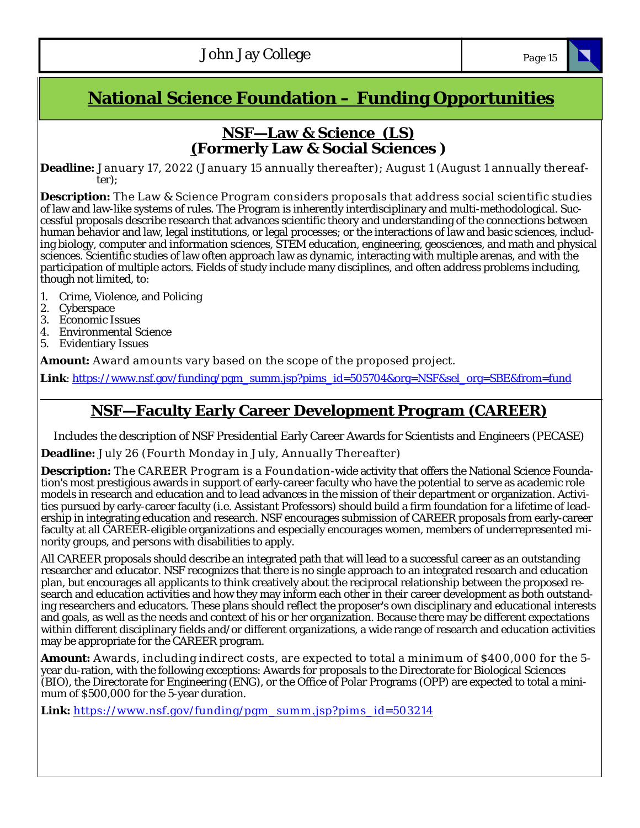# **National Science Foundation – Funding Opportunities**

### **NSF—Law & Science (LS) (Formerly Law & Social Sciences )**

**Deadline:** January 17, 2022 (January 15 annually thereafter); August 1 (August 1 annually thereafter);

**Description:** The Law & Science Program considers proposals that address social scientific studies of law and law-like systems of rules. The Program is inherently interdisciplinary and multi-methodological. Successful proposals describe research that advances scientific theory and understanding of the connections between human behavior and law, legal institutions, or legal processes; or the interactions of law and basic sciences, including biology, computer and information sciences, STEM education, engineering, geosciences, and math and physical sciences. Scientific studies of law often approach law as dynamic, interacting with multiple arenas, and with the participation of multiple actors. Fields of study include many disciplines, and often address problems including, though not limited, to:

- 1. Crime, Violence, and Policing
- 2. Cyberspace
- 3. Economic Issues
- 4. Environmental Science
- 5. Evidentiary Issues

**Amount:** Award amounts vary based on the scope of the proposed project.

**Link**: https://www.nsf.gov/funding/pgm\_summ.jsp?pims\_id=505704&org=NSF&sel\_org=SBE&from=fund

## **NSF—Faculty Early Career Development Program (CAREER)**

Includes the description of NSF Presidential Early Career Awards for Scientists and Engineers (PECASE)

**Deadline:** July 26 (Fourth Monday in July, Annually Thereafter)

**Description:** The CAREER Program is a Foundation-wide activity that offers the National Science Foundation's most prestigious awards in support of early-career faculty who have the potential to serve as academic role models in research and education and to lead advances in the mission of their department or organization. Activities pursued by early-career faculty (i.e. Assistant Professors) should build a firm foundation for a lifetime of leadership in integrating education and research. NSF encourages submission of CAREER proposals from early-career faculty at all CAREER-eligible organizations and especially encourages women, members of underrepresented minority groups, and persons with disabilities to apply.

All CAREER proposals should describe an integrated path that will lead to a successful career as an outstanding researcher and educator. NSF recognizes that there is no single approach to an integrated research and education plan, but encourages all applicants to think creatively about the reciprocal relationship between the proposed research and education activities and how they may inform each other in their career development as both outstanding researchers and educators. These plans should reflect the proposer's own disciplinary and educational interests and goals, as well as the needs and context of his or her organization. Because there may be different expectations within different disciplinary fields and/or different organizations, a wide range of research and education activities may be appropriate for the CAREER program.

**Amount:** Awards, including indirect costs, are expected to total a minimum of \$400,000 for the 5 year du-ration, with the following exceptions: Awards for proposals to the Directorate for Biological Sciences (BIO), the Directorate for Engineering (ENG), or the Office of Polar Programs (OPP) are expected to total a minimum of \$500,000 for the 5-year duration.

Link: https://www.nsf.gov/funding/pgm\_summ.jsp?pims\_id=503214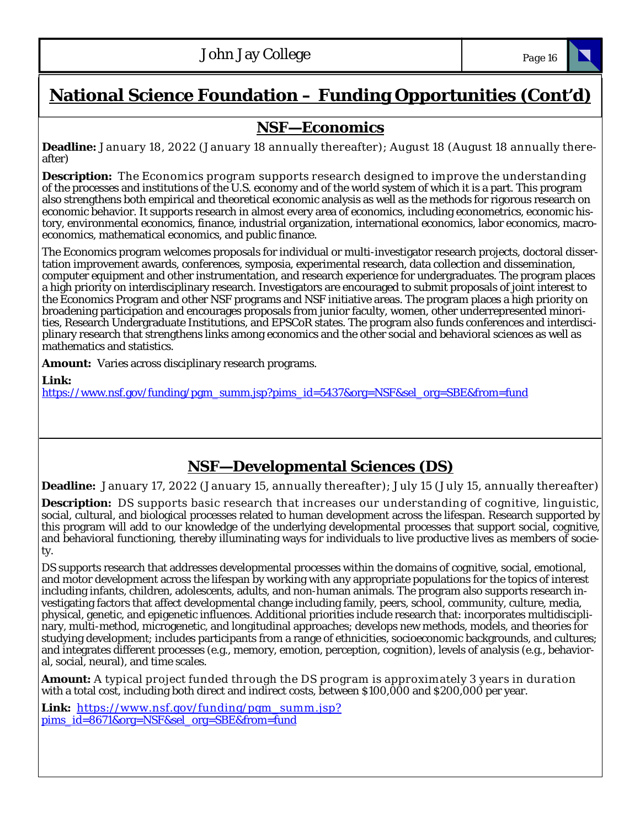# **National Science Foundation – Funding Opportunities (Cont'd)**

# **NSF—Economics**

**Deadline:** January 18, 2022 (January 18 annually thereafter); August 18 (August 18 annually thereafter)

**Description:** The Economics program supports research designed to improve the understanding of the processes and institutions of the U.S. economy and of the world system of which it is a part. This program also strengthens both empirical and theoretical economic analysis as well as the methods for rigorous research on economic behavior. It supports research in almost every area of economics, including econometrics, economic history, environmental economics, finance, industrial organization, international economics, labor economics, macroeconomics, mathematical economics, and public finance.

The Economics program welcomes proposals for individual or multi-investigator research projects, doctoral dissertation improvement awards, conferences, symposia, experimental research, data collection and dissemination, computer equipment and other instrumentation, and research experience for undergraduates. The program places a high priority on interdisciplinary research. Investigators are encouraged to submit proposals of joint interest to the Economics Program and other NSF programs and NSF initiative areas. The program places a high priority on broadening participation and encourages proposals from junior faculty, women, other underrepresented minorities, Research Undergraduate Institutions, and EPSCoR states. The program also funds conferences and interdisciplinary research that strengthens links among economics and the other social and behavioral sciences as well as mathematics and statistics.

**Amount:** Varies across disciplinary research programs.

**Link:** 

https://www.nsf.gov/funding/pgm\_summ.jsp?pims\_id=5437&org=NSF&sel\_org=SBE&from=fund

# **NSF—Developmental Sciences (DS)**

**Deadline:** January 17, 2022 (January 15, annually thereafter); July 15 (July 15, annually thereafter)

**Description:** DS supports basic research that increases our understanding of cognitive, linguistic, social, cultural, and biological processes related to human development across the lifespan. Research supported by this program will add to our knowledge of the underlying developmental processes that support social, cognitive, and behavioral functioning, thereby illuminating ways for individuals to live productive lives as members of society.

DS supports research that addresses developmental processes within the domains of cognitive, social, emotional, and motor development across the lifespan by working with any appropriate populations for the topics of interest including infants, children, adolescents, adults, and non-human animals. The program also supports research investigating factors that affect developmental change including family, peers, school, community, culture, media, physical, genetic, and epigenetic influences. Additional priorities include research that: incorporates multidisciplinary, multi-method, microgenetic, and longitudinal approaches; develops new methods, models, and theories for studying development; includes participants from a range of ethnicities, socioeconomic backgrounds, and cultures; and integrates different processes (e.g., memory, emotion, perception, cognition), levels of analysis (e.g., behavioral, social, neural), and time scales.

**Amount:** A typical project funded through the DS program is approximately 3 years in duration with a total cost, including both direct and indirect costs, between \$100,000 and \$200,000 per year.

Link: https://www.nsf.gov/funding/pgm\_summ.jsp? pims\_id=8671&org=NSF&sel\_org=SBE&from=fund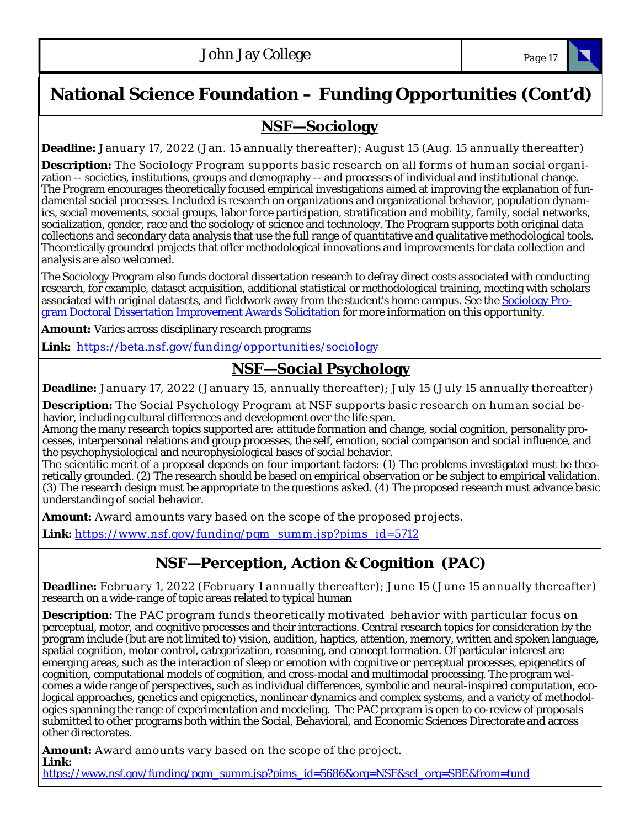# **National Science Foundation – Funding Opportunities (Cont'd)**

# **NSF—Sociology**

**Deadline:** January 17, 2022 (Jan. 15 annually thereafter); August 15 (Aug. 15 annually thereafter)

**Description:** The Sociology Program supports basic research on all forms of human social organization -- societies, institutions, groups and demography -- and processes of individual and institutional change. The Program encourages theoretically focused empirical investigations aimed at improving the explanation of fundamental social processes. Included is research on organizations and organizational behavior, population dynamics, social movements, social groups, labor force participation, stratification and mobility, family, social networks, socialization, gender, race and the sociology of science and technology. The Program supports both original data collections and secondary data analysis that use the full range of quantitative and qualitative methodological tools. Theoretically grounded projects that offer methodological innovations and improvements for data collection and analysis are also welcomed.

The Sociology Program also funds doctoral dissertation research to defray direct costs associated with conducting research, for example, dataset acquisition, additional statistical or methodological training, meeting with scholars associated with original datasets, and fieldwork away from the student's home campus. See the Sociology Program Doctoral Dissertation Improvement Awards Solicitation for more information on this opportunity.

**Amount:** Varies across disciplinary research programs

**Link:** https://beta.nsf.gov/funding/opportunities/sociology

# **NSF—Social Psychology**

**Deadline:** January 17, 2022 (January 15, annually thereafter); July 15 (July 15 annually thereafter)

**Description:** The Social Psychology Program at NSF supports basic research on human social behavior, including cultural differences and development over the life span.

Among the many research topics supported are: attitude formation and change, social cognition, personality processes, interpersonal relations and group processes, the self, emotion, social comparison and social influence, and the psychophysiological and neurophysiological bases of social behavior.

The scientific merit of a proposal depends on four important factors: (1) The problems investigated must be theoretically grounded. (2) The research should be based on empirical observation or be subject to empirical validation. (3) The research design must be appropriate to the questions asked. (4) The proposed research must advance basic understanding of social behavior.

**Amount:** Award amounts vary based on the scope of the proposed projects.

Link: https://www.nsf.gov/funding/pgm\_summ.jsp?pims\_id=5712

# **NSF—Perception, Action & Cognition (PAC)**

**Deadline:** February 1, 2022 (February 1 annually thereafter); June 15 (June 15 annually thereafter) research on a wide-range of topic areas related to typical human

**Description:** The PAC program funds theoretically motivated behavior with particular focus on perceptual, motor, and cognitive processes and their interactions. Central research topics for consideration by the program include (but are not limited to) vision, audition, haptics, attention, memory, written and spoken language, spatial cognition, motor control, categorization, reasoning, and concept formation. Of particular interest are emerging areas, such as the interaction of sleep or emotion with cognitive or perceptual processes, epigenetics of cognition, computational models of cognition, and cross-modal and multimodal processing. The program welcomes a wide range of perspectives, such as individual differences, symbolic and neural-inspired computation, ecological approaches, genetics and epigenetics, nonlinear dynamics and complex systems, and a variety of methodologies spanning the range of experimentation and modeling. The PAC program is open to co-review of proposals submitted to other programs both within the Social, Behavioral, and Economic Sciences Directorate and across other directorates.

**Amount:** Award amounts vary based on the scope of the project. **Link:** 

https://www.nsf.gov/funding/pgm\_summ.jsp?pims\_id=5686&org=NSF&sel\_org=SBE&from=fund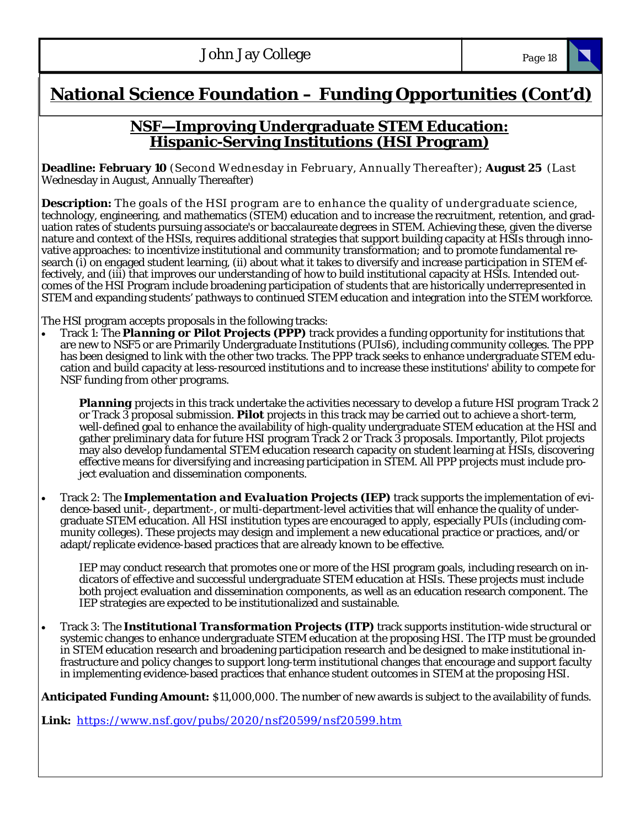# **National Science Foundation – Funding Opportunities (Cont'd)**

### **NSF—Improving Undergraduate STEM Education: Hispanic-Serving Institutions (HSI Program)**

**Deadline: February 10** (Second Wednesday in February, Annually Thereafter); **August 25** (Last Wednesday in August, Annually Thereafter)

**Description:** The goals of the HSI program are to enhance the quality of undergraduate science, technology, engineering, and mathematics (STEM) education and to increase the recruitment, retention, and graduation rates of students pursuing associate's or baccalaureate degrees in STEM. Achieving these, given the diverse nature and context of the HSIs, requires additional strategies that support building capacity at HSIs through innovative approaches: to incentivize institutional and community transformation; and to promote fundamental research (i) on engaged student learning, (ii) about what it takes to diversify and increase participation in STEM effectively, and (iii) that improves our understanding of how to build institutional capacity at HSIs. Intended outcomes of the HSI Program include broadening participation of students that are historically underrepresented in STEM and expanding students' pathways to continued STEM education and integration into the STEM workforce.

The HSI program accepts proposals in the following tracks:

 Track 1: The *Planning or Pilot Projects (PPP)* track provides a funding opportunity for institutions that are new to NSF5 or are Primarily Undergraduate Institutions (PUIs6), including community colleges. The PPP has been designed to link with the other two tracks. The PPP track seeks to enhance undergraduate STEM education and build capacity at less-resourced institutions and to increase these institutions' ability to compete for NSF funding from other programs.

*Planning* projects in this track undertake the activities necessary to develop a future HSI program Track 2 or Track 3 proposal submission. *Pilot* projects in this track may be carried out to achieve a short-term, well-defined goal to enhance the availability of high-quality undergraduate STEM education at the HSI and gather preliminary data for future HSI program Track 2 or Track 3 proposals. Importantly, Pilot projects may also develop fundamental STEM education research capacity on student learning at HSIs, discovering effective means for diversifying and increasing participation in STEM. All PPP projects must include project evaluation and dissemination components.

 Track 2: The *Implementation and Evaluation Projects (IEP)* track supports the implementation of evidence-based unit-, department-, or multi-department-level activities that will enhance the quality of undergraduate STEM education. All HSI institution types are encouraged to apply, especially PUIs (including community colleges). These projects may design and implement a new educational practice or practices, and/or adapt/replicate evidence-based practices that are already known to be effective.

IEP may conduct research that promotes one or more of the HSI program goals, including research on indicators of effective and successful undergraduate STEM education at HSIs. These projects must include both project evaluation and dissemination components, as well as an education research component. The IEP strategies are expected to be institutionalized and sustainable.

 Track 3: The *Institutional Transformation Projects (ITP)* track supports institution-wide structural or systemic changes to enhance undergraduate STEM education at the proposing HSI. The ITP must be grounded in STEM education research and broadening participation research and be designed to make institutional infrastructure and policy changes to support long-term institutional changes that encourage and support faculty in implementing evidence-based practices that enhance student outcomes in STEM at the proposing HSI.

**Anticipated Funding Amount:** \$11,000,000. The number of new awards is subject to the availability of funds.

**Link:** https://www.nsf.gov/pubs/2020/nsf20599/nsf20599.htm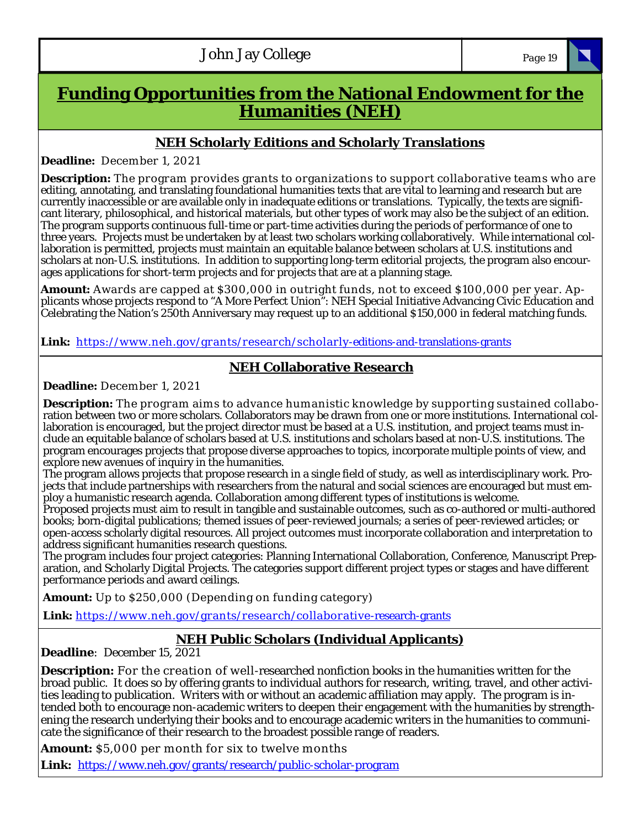| <b>John Jay College</b> | Page 19 |
|-------------------------|---------|
|                         |         |

# **Funding Opportunities from the National Endowment for the Humanities (NEH)**

### **NEH Scholarly Editions and Scholarly Translations**

**Deadline:** December 1, 2021

**Description:** The program provides grants to organizations to support collaborative teams who are editing, annotating, and translating foundational humanities texts that are vital to learning and research but are currently inaccessible or are available only in inadequate editions or translations. Typically, the texts are significant literary, philosophical, and historical materials, but other types of work may also be the subject of an edition. The program supports continuous full-time or part-time activities during the periods of performance of one to three years. Projects must be undertaken by at least two scholars working collaboratively. While international collaboration is permitted, projects must maintain an equitable balance between scholars at U.S. institutions and scholars at non-U.S. institutions. In addition to supporting long-term editorial projects, the program also encourages applications for short-term projects and for projects that are at a planning stage.

**Amount:** Awards are capped at \$300,000 in outright funds, not to exceed \$100,000 per year. Applicants whose projects respond to "A More Perfect Union": NEH Special Initiative Advancing Civic Education and Celebrating the Nation's 250th Anniversary may request up to an additional \$150,000 in federal matching funds.

Link: https://www.neh.gov/grants/research/scholarly-editions-and-translations-grants

### **NEH Collaborative Research**

**Deadline:** December 1, 2021

**Description:** The program aims to advance humanistic knowledge by supporting sustained collaboration between two or more scholars. Collaborators may be drawn from one or more institutions. International collaboration is encouraged, but the project director must be based at a U.S. institution, and project teams must include an equitable balance of scholars based at U.S. institutions and scholars based at non-U.S. institutions. The program encourages projects that propose diverse approaches to topics, incorporate multiple points of view, and explore new avenues of inquiry in the humanities.

The program allows projects that propose research in a single field of study, as well as interdisciplinary work. Projects that include partnerships with researchers from the natural and social sciences are encouraged but must employ a humanistic research agenda. Collaboration among different types of institutions is welcome.

Proposed projects must aim to result in tangible and sustainable outcomes, such as co-authored or multi-authored books; born-digital publications; themed issues of peer-reviewed journals; a series of peer-reviewed articles; or open-access scholarly digital resources. All project outcomes must incorporate collaboration and interpretation to address significant humanities research questions.

The program includes four project categories: Planning International Collaboration, Conference, Manuscript Preparation, and Scholarly Digital Projects. The categories support different project types or stages and have different performance periods and award ceilings.

**Amount:** Up to \$250,000 (Depending on funding category)

Link: https://www.neh.gov/grants/research/collaborative-research-grants

## **NEH Public Scholars (Individual Applicants)**

**Deadline**: December 15, 2021

**Description:** For the creation of w ell-researched nonfiction books in the humanities written for the broad public. It does so by offering grants to individual authors for research, writing, travel, and other activities leading to publication. Writers with or without an academic affiliation may apply. The program is intended both to encourage non-academic writers to deepen their engagement with the humanities by strengthening the research underlying their books and to encourage academic writers in the humanities to communicate the significance of their research to the broadest possible range of readers.

**Amount:** \$5,000 per month for six to twelve months

**Link:** https://www.neh.gov/grants/research/public-scholar-program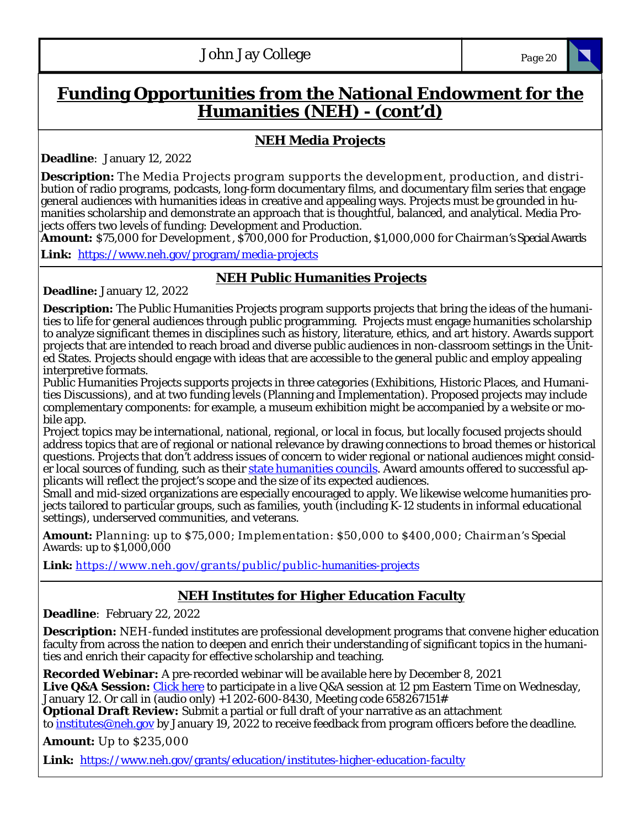# **Funding Opportunities from the National Endowment for the Humanities (NEH) - (cont'd)**

### **NEH Media Projects**

**Deadline**: January 12, 2022

**Description:** The Media Projects program supports the development, production, and distribution of radio programs, podcasts, long-form documentary films, and documentary film series that engage general audiences with humanities ideas in creative and appealing ways. Projects must be grounded in humanities scholarship and demonstrate an approach that is thoughtful, balanced, and analytical. Media Projects offers two levels of funding: Development and Production.

**Amount:** \$75,000 for Development , \$700,000 for Production, \$1,000,000 for Chairman's Special Awards **Link:** https://www.neh.gov/program/media-projects

### **NEH Public Humanities Projects**

**Deadline:** January 12, 2022

**Description:** The Public Humanities Projects program supports projects that bring the ideas of the humanities to life for general audiences through public programming. Projects must engage humanities scholarship to analyze significant themes in disciplines such as history, literature, ethics, and art history. Awards support projects that are intended to reach broad and diverse public audiences in non-classroom settings in the United States. Projects should engage with ideas that are accessible to the general public and employ appealing interpretive formats.

Public Humanities Projects supports projects in three categories (Exhibitions, Historic Places, and Humanities Discussions), and at two funding levels (Planning and Implementation). Proposed projects may include complementary components: for example, a museum exhibition might be accompanied by a website or mobile app.

Project topics may be international, national, regional, or local in focus, but locally focused projects should address topics that are of regional or national relevance by drawing connections to broad themes or historical questions. Projects that don't address issues of concern to wider regional or national audiences might consider local sources of funding, such as their state humanities councils. Award amounts offered to successful applicants will reflect the project's scope and the size of its expected audiences.

Small and mid-sized organizations are especially encouraged to apply. We likewise welcome humanities projects tailored to particular groups, such as families, youth (including K-12 students in informal educational settings), underserved communities, and veterans.

**Amount:** Planning: up to \$75,000; Implementation: \$50,000 to \$400,000; Chairman's Special Awards: up to \$1,000,000

Link: https://www.neh.gov/grants/public/public-humanities-projects

## **NEH Institutes for Higher Education Faculty**

**Deadline**: February 22, 2022

**Description:** NEH-funded institutes are professional development programs that convene higher education faculty from across the nation to deepen and enrich their understanding of significant topics in the humanities and enrich their capacity for effective scholarship and teaching.

**Recorded Webinar:** A pre-recorded webinar will be available here by December 8, 2021 Live Q&A Session: Click here to participate in a live Q&A session at 12 pm Eastern Time on Wednesday, January 12. Or call in (audio only) +1 202-600-8430, Meeting code 658267151# **Optional Draft Review:** Submit a partial or full draft of your narrative as an attachment to institutes@neh.gov by January 19, 2022 to receive feedback from program officers before the deadline.

**Amount:** Up to \$235,000

**Link:** https://www.neh.gov/grants/education/institutes-higher-education-faculty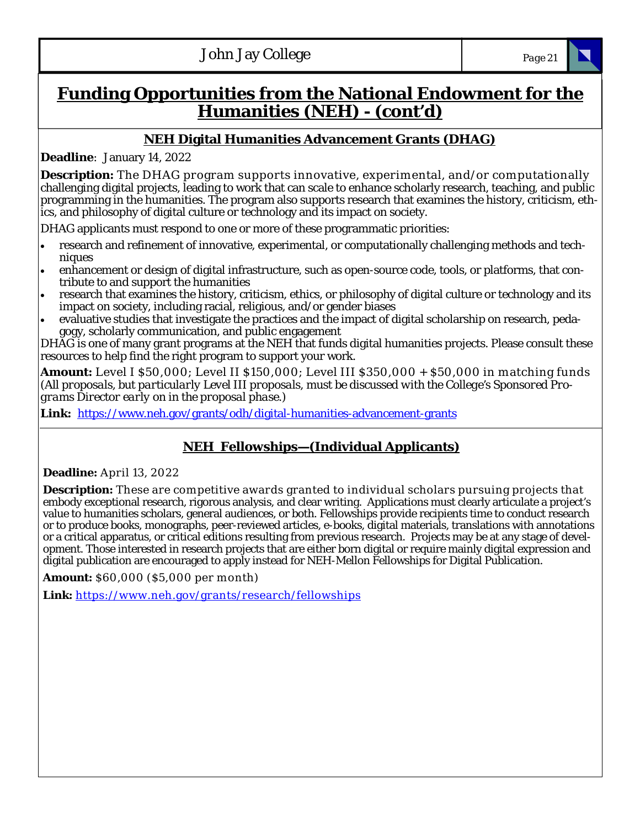# **Funding Opportunities from the National Endowment for the Humanities (NEH) - (cont'd)**

### **NEH Digital Humanities Advancement Grants (DHAG)**

**Deadline**: January 14, 2022

**Description:** The DHAG program supports innovative, experim ental, and/or com putationally challenging digital projects, leading to work that can scale to enhance scholarly research, teaching, and public programming in the humanities. The program also supports research that examines the history, criticism, ethics, and philosophy of digital culture or technology and its impact on society.

DHAG applicants must respond to one or more of these programmatic priorities:

- research and refinement of innovative, experimental, or computationally challenging methods and techniques
- enhancement or design of digital infrastructure, such as open-source code, tools, or platforms, that contribute to and support the humanities
- research that examines the history, criticism, ethics, or philosophy of digital culture or technology and its impact on society, including racial, religious, and/or gender biases
- evaluative studies that investigate the practices and the impact of digital scholarship on research, pedagogy, scholarly communication, and public engagement

DHAG is one of many grant programs at the NEH that funds digital humanities projects. Please consult these resources to help find the right program to support your work.

**Amount:** Level I \$50,000; Level II \$150,000; Level III \$350,000 + \$50,000 in matching funds *(All proposals, but particularly Level III proposals, must be discussed with the College's Sponsored Programs Director early on in the proposal phase.)*

**Link:** https://www.neh.gov/grants/odh/digital-humanities-advancement-grants

## **NEH Fellowships—(Individual Applicants)**

#### **Deadline:** April 13, 2022

**Description:** These are competitive awards granted to individual scholars pursuing projects that embody exceptional research, rigorous analysis, and clear writing. Applications must clearly articulate a project's value to humanities scholars, general audiences, or both. Fellowships provide recipients time to conduct research or to produce books, monographs, peer-reviewed articles, e-books, digital materials, translations with annotations or a critical apparatus, or critical editions resulting from previous research. Projects may be at any stage of development. Those interested in research projects that are either born digital or require mainly digital expression and digital publication are encouraged to apply instead for NEH-Mellon Fellowships for Digital Publication.

**Amount:** \$60,000 (\$5,000 per month)

**Link:** https://www.neh.gov/grants/research/fellowships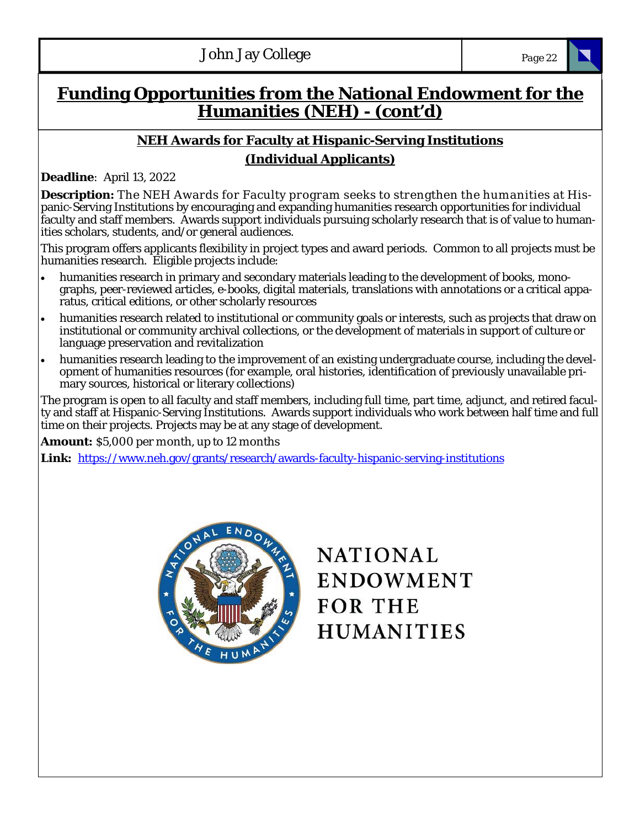# **Funding Opportunities from the National Endowment for the Humanities (NEH) - (cont'd)**

## **NEH Awards for Faculty at Hispanic-Serving Institutions (Individual Applicants)**

**Deadline**: April 13, 2022

**Description:** The NEH Awards for Faculty program seeks to strengthen the humanities at Hispanic-Serving Institutions by encouraging and expanding humanities research opportunities for individual faculty and staff members. Awards support individuals pursuing scholarly research that is of value to humanities scholars, students, and/or general audiences.

This program offers applicants flexibility in project types and award periods. Common to all projects must be humanities research. Eligible projects include:

- humanities research in primary and secondary materials leading to the development of books, monographs, peer-reviewed articles, e-books, digital materials, translations with annotations or a critical apparatus, critical editions, or other scholarly resources
- humanities research related to institutional or community goals or interests, such as projects that draw on institutional or community archival collections, or the development of materials in support of culture or language preservation and revitalization
- humanities research leading to the improvement of an existing undergraduate course, including the development of humanities resources (for example, oral histories, identification of previously unavailable primary sources, historical or literary collections)

The program is open to all faculty and staff members, including full time, part time, adjunct, and retired faculty and staff at Hispanic-Serving Institutions. Awards support individuals who work between half time and full time on their projects. Projects may be at any stage of development.

**Amount:** \$5,000 per month, up to 12 months

**Link:** https://www.neh.gov/grants/research/awards-faculty-hispanic-serving-institutions



**NATIONAL ENDOWMENT FOR THE HUMANITIES**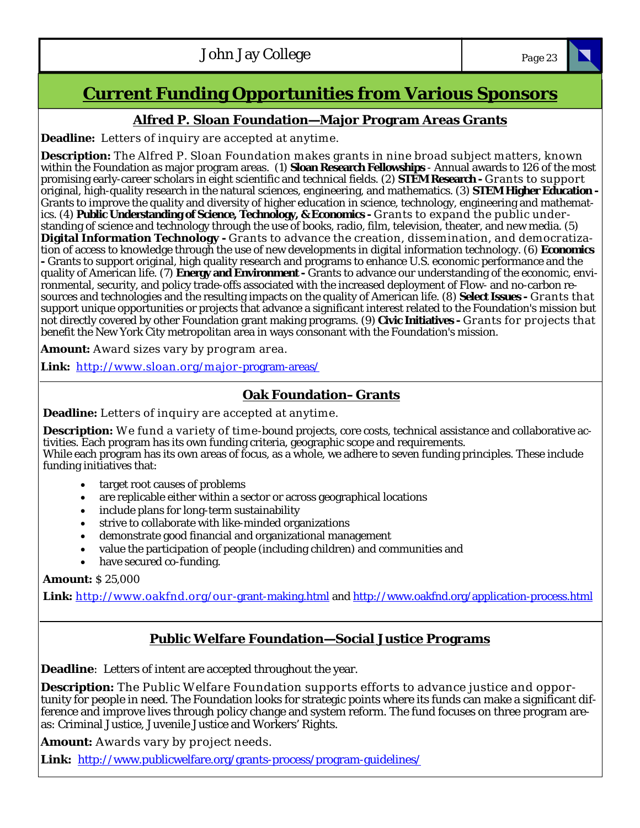# **Current Funding Opportunities from Various Sponsors**

### **Alfred P. Sloan Foundation—Major Program Areas Grants**

**Deadline:** Letters of inquiry are accepted at anytime.

**Description:** The Alfred P. Sloan Foundation makes grants in nine broad subject matters, known within the Foundation as major program areas. (1) **Sloan Research Fellowships** - Annual awards to 126 of the most promising early-career scholars in eight scientific and technical fields. (2) **STEM Research -** Grants to support original, high-quality research in the natural sciences, engineering, and mathematics. (3) **STEM Higher Education -**  Grants to improve the quality and diversity of higher education in science, technology, engineering and mathematics. (4) **Public Understanding of Science, Technology, & Economics -** Grants to expand the public understanding of science and technology through the use of books, radio, film, television, theater, and new media. (5) **Digital Information Technology -** Grants to advance the creation, dissemination, and democratization of access to knowledge through the use of new developments in digital information technology. (6) **Economics -** Grants to support original, high quality research and programs to enhance U.S. economic performance and the quality of American life. (7) **Energy and Environment-** Grants to advance our understanding of the economic, environmental, security, and policy trade-offs associated with the increased deployment of Flow- and no-carbon resources and technologies and the resulting impacts on the quality of American life. (8) **Select Issues -** Grants that support unique opportunities or projects that advance a significant interest related to the Foundation's mission but not directly covered by other Foundation grant making programs. (9) **Civic Initiatives -** Grants for projects that benefit the New York City metropolitan area in ways consonant with the Foundation's mission.

**Amount:** Award sizes vary by program area.

**Link:** http://w w w .sloan.org/m ajor-program-areas/

### **Oak Foundation–Grants**

**Deadline:** Letters of inquiry are accepted at anytime.

**Description:** We fund a variety of time-bound projects, core costs, technical assistance and collaborative activities. Each program has its own funding criteria, geographic scope and requirements. While each program has its own areas of focus, as a whole, we adhere to seven funding principles. These include funding initiatives that:

- target root causes of problems
- are replicable either within a sector or across geographical locations
- include plans for long-term sustainability
- strive to collaborate with like-minded organizations
- demonstrate good financial and organizational management
- value the participation of people (including children) and communities and
- have secured co-funding.

### **Amount:** \$ 25,000

**Link:** http://w w w .oakfnd.org/our-grant-making.html and http://www.oakfnd.org/application-process.html

### **Public Welfare Foundation—Social Justice Programs**

**Deadline**: Letters of intent are accepted throughout the year.

**Description:** The Public Welfare Foundation supports efforts to advance justice and opportunity for people in need. The Foundation looks for strategic points where its funds can make a significant difference and improve lives through policy change and system reform. The fund focuses on three program areas: Criminal Justice, Juvenile Justice and Workers' Rights.

**Amount:** Awards vary by project needs.

**Link:** http://www.publicwelfare.org/grants-process/program-guidelines/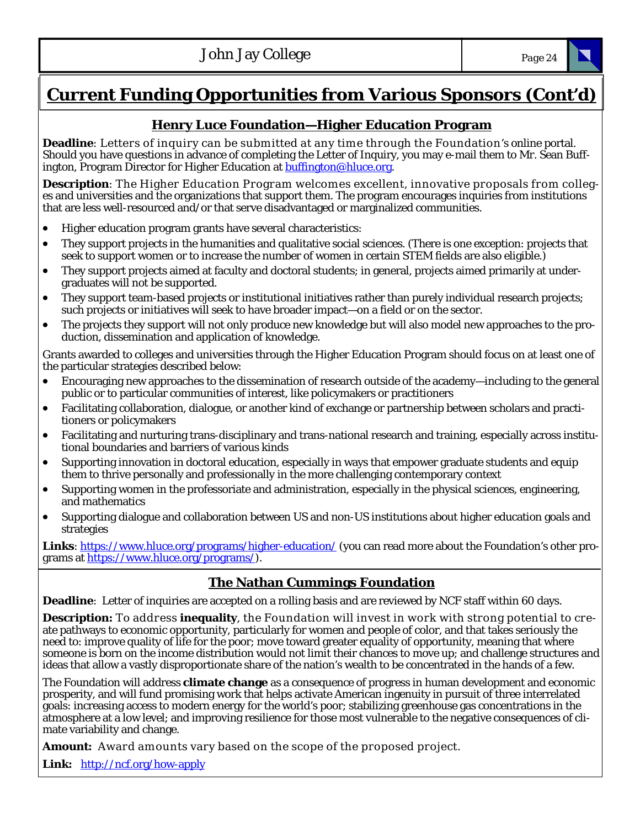# **Current Funding Opportunities from Various Sponsors (Cont'd)**

### **Henry Luce Foundation—Higher Education Program**

**Deadline**: Letters of inquiry can be submitted at any time through the Foundation's online portal. Should you have questions in advance of completing the Letter of Inquiry, you may e-mail them to Mr. Sean Buffington, Program Director for Higher Education at **buffington@hluce.org**.

**Description**: The Higher Education Program welcomes excellent, innovative proposals from colleges and universities and the organizations that support them. The program encourages inquiries from institutions that are less well-resourced and/or that serve disadvantaged or marginalized communities.

- Higher education program grants have several characteristics:
- They support projects in the humanities and qualitative social sciences. (There is one exception: projects that seek to support women or to increase the number of women in certain STEM fields are also eligible.)
- They support projects aimed at faculty and doctoral students; in general, projects aimed primarily at undergraduates will not be supported.
- They support team-based projects or institutional initiatives rather than purely individual research projects; such projects or initiatives will seek to have broader impact—on a field or on the sector.
- The projects they support will not only produce new knowledge but will also model new approaches to the production, dissemination and application of knowledge.

Grants awarded to colleges and universities through the Higher Education Program should focus on at least one of the particular strategies described below:

- Encouraging new approaches to the dissemination of research outside of the academy—including to the general public or to particular communities of interest, like policymakers or practitioners
- Facilitating collaboration, dialogue, or another kind of exchange or partnership between scholars and practitioners or policymakers
- Facilitating and nurturing trans-disciplinary and trans-national research and training, especially across institutional boundaries and barriers of various kinds
- Supporting innovation in doctoral education, especially in ways that empower graduate students and equip them to thrive personally and professionally in the more challenging contemporary context
- Supporting women in the professoriate and administration, especially in the physical sciences, engineering, and mathematics
- Supporting dialogue and collaboration between US and non-US institutions about higher education goals and strategies

Links: https://www.hluce.org/programs/higher-education/ (you can read more about the Foundation's other programs at https://www.hluce.org/programs/).

### **The Nathan Cummings Foundation**

**Deadline**: Letter of inquiries are accepted on a rolling basis and are reviewed by NCF staff within 60 days.

**Description:** To address **inequality**, the Foundation will invest in work with strong potential to create pathways to economic opportunity, particularly for women and people of color, and that takes seriously the need to: improve quality of life for the poor; move toward greater equality of opportunity, meaning that where someone is born on the income distribution would not limit their chances to move up; and challenge structures and ideas that allow a vastly disproportionate share of the nation's wealth to be concentrated in the hands of a few.

The Foundation will address **climate change** as a consequence of progress in human development and economic prosperity, and will fund promising work that helps activate American ingenuity in pursuit of three interrelated goals: increasing access to modern energy for the world's poor; stabilizing greenhouse gas concentrations in the atmosphere at a low level; and improving resilience for those most vulnerable to the negative consequences of climate variability and change.

**Amount:** Award amounts vary based on the scope of the proposed project.

**Link:** http://ncf.org/how-apply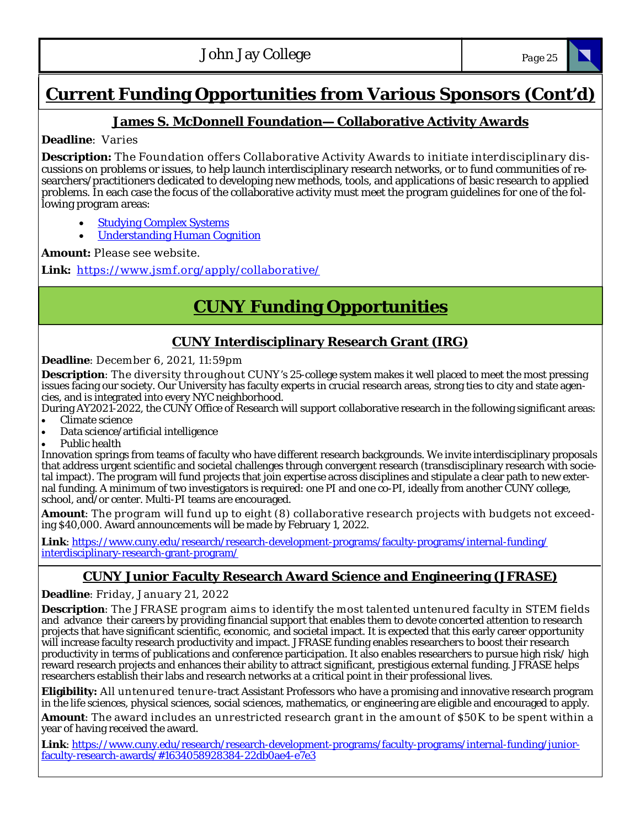# **Current Funding Opportunities from Various Sponsors (Cont'd)**

### **James S. McDonnell Foundation— Collaborative Activity Awards**

### **Deadline**: Varies

**Description:** The Foundation offers Collaborative Activity Awards to initiate interdisciplinary discussions on problems or issues, to help launch interdisciplinary research networks, or to fund communities of researchers/practitioners dedicated to developing new methods, tools, and applications of basic research to applied problems. In each case the focus of the collaborative activity must meet the program guidelines for one of the following program areas:

- Studying Complex Systems
- Understanding Human Cognition

#### **Amount:** Please see website.

Link: https://www.jsmf.org/apply/collaborative/

# **CUNY Funding Opportunities**

### **CUNY Interdisciplinary Research Grant (IRG)**

#### **Deadline**: December 6, 2021, 11:59pm

**Description**: The diversity throughout CUNY's 25-college system makes it well placed to meet the most pressing issues facing our society. Our University has faculty experts in crucial research areas, strong ties to city and state agencies, and is integrated into every NYC neighborhood.

During AY2021-2022, the CUNY Office of Research will support collaborative research in the following significant areas: Climate science

- Data science/artificial intelligence
- Public health

Innovation springs from teams of faculty who have different research backgrounds. We invite interdisciplinary proposals that address urgent scientific and societal challenges through convergent research (transdisciplinary research with societal impact). The program will fund projects that join expertise across disciplines and stipulate a clear path to new external funding. A minimum of two investigators is required: one PI and one co-PI, ideally from another CUNY college, school, and/or center. Multi-PI teams are encouraged.

**Amount**: The program will fund up to eight (8) collaborative research projects with budgets not exceeding \$40,000. Award announcements will be made by February 1, 2022.

**Link**: https://www.cuny.edu/research/research-development-programs/faculty-programs/internal-funding/ interdisciplinary-research-grant-program/

### **CUNY Junior Faculty Research Award Science and Engineering (JFRASE)**

**Deadline**: Friday, January 21, 2022

**Description**: The JFRASE program aims to identify the most talented untenured faculty in STEM fields and advance their careers by providing financial support that enables them to devote concerted attention to research projects that have significant scientific, economic, and societal impact. It is expected that this early career opportunity will increase faculty research productivity and impact. JFRASE funding enables researchers to boost their research productivity in terms of publications and conference participation. It also enables researchers to pursue high risk/ high reward research projects and enhances their ability to attract significant, prestigious external funding. JFRASE helps researchers establish their labs and research networks at a critical point in their professional lives.

**Eligibility:** All untenured tenure-tract Assistant Professors who have a promising and innovative research program in the life sciences, physical sciences, social sciences, mathematics, or engineering are eligible and encouraged to apply.

**Amount**: The award includes an unrestricted research grant in the amount of \$50K to be spent within a year of having received the award.

**Link**: https://www.cuny.edu/research/research-development-programs/faculty-programs/internal-funding/juniorfaculty-research-awards/#1634058928384-22db0ae4-e7e3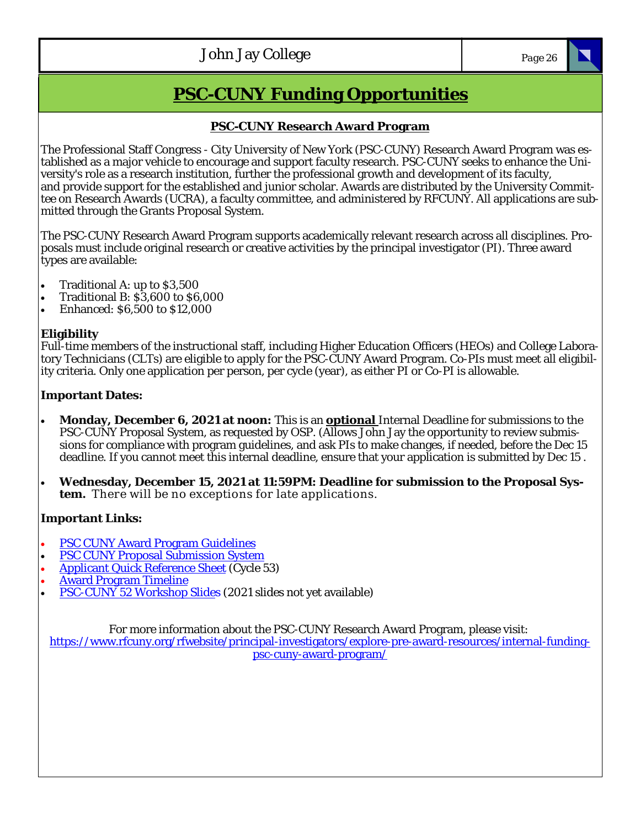# **PSC-CUNY Funding Opportunities**

#### **PSC-CUNY Research Award Program**

The Professional Staff Congress - City University of New York (PSC-CUNY) Research Award Program was established as a major vehicle to encourage and support faculty research. PSC-CUNY seeks to enhance the University's role as a research institution, further the professional growth and development of its faculty, and provide support for the established and junior scholar. Awards are distributed by the University Committee on Research Awards (UCRA), a faculty committee, and administered by RFCUNY. All applications are submitted through the Grants Proposal System.

The PSC-CUNY Research Award Program supports academically relevant research across all disciplines. Proposals must include original research or creative activities by the principal investigator (PI). Three award types are available:

- Traditional A: up to \$3,500
- Traditional B: \$3,600 to \$6,000
- Enhanced: \$6,500 to \$12,000

### **Eligibility**

Full-time members of the instructional staff, including Higher Education Officers (HEOs) and College Laboratory Technicians (CLTs) are eligible to apply for the PSC-CUNY Award Program. Co-PIs must meet all eligibility criteria. Only one application per person, per cycle (year), as either PI or Co-PI is allowable.

### **Important Dates:**

- **Monday, December 6, 2021 at noon:** This is an **optional** Internal Deadline for submissions to the PSC-CUNY Proposal System, as requested by OSP. (Allows John Jay the opportunity to review submissions for compliance with program guidelines, and ask PIs to make changes, if needed, before the Dec 15 deadline. If you cannot meet this internal deadline, ensure that your application is submitted by Dec 15 .
- **Wednesday, December 15, 2021 at 11:59PM: Deadline for submission to the Proposal System.** There will be no exceptions for late applications.

### **Important Links:**

- PSC CUNY Award Program Guidelines
- PSC CUNY Proposal Submission System
- Applicant Quick Reference Sheet (Cycle 53)
- Award Program Timeline
- PSC-CUNY 52 Workshop Slides (2021 slides not yet available)

For more information about the PSC-CUNY Research Award Program, please visit:

https://www.rfcuny.org/rfwebsite/principal-investigators/explore-pre-award-resources/internal-fundingpsc-cuny-award-program/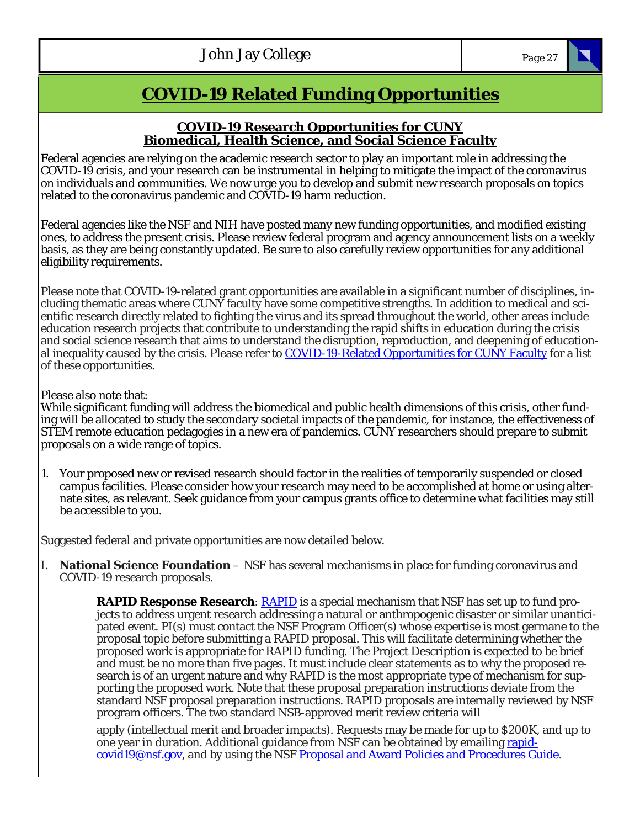# **COVID-19 Related Funding Opportunities**

### **COVID-19 Research Opportunities for CUNY Biomedical, Health Science, and Social Science Faculty**

Federal agencies are relying on the academic research sector to play an important role in addressing the COVID-19 crisis, and your research can be instrumental in helping to mitigate the impact of the coronavirus on individuals and communities. We now urge you to develop and submit new research proposals on topics related to the coronavirus pandemic and COVID-19 harm reduction.

Federal agencies like the NSF and NIH have posted many new funding opportunities, and modified existing ones, to address the present crisis. Please review federal program and agency announcement lists on a weekly basis, as they are being constantly updated. Be sure to also carefully review opportunities for any additional eligibility requirements.

Please note that COVID-19-related grant opportunities are available in a significant number of disciplines, including thematic areas where CUNY faculty have some competitive strengths. In addition to medical and scientific research directly related to fighting the virus and its spread throughout the world, other areas include education research projects that contribute to understanding the rapid shifts in education during the crisis and social science research that aims to understand the disruption, reproduction, and deepening of educational inequality caused by the crisis. Please refer to COVID-19-Related Opportunities for CUNY Faculty for a list of these opportunities.

Please also note that:

While significant funding will address the biomedical and public health dimensions of this crisis, other funding will be allocated to study the secondary societal impacts of the pandemic, for instance, the effectiveness of STEM remote education pedagogies in a new era of pandemics. CUNY researchers should prepare to submit proposals on a wide range of topics.

1. Your proposed new or revised research should factor in the realities of temporarily suspended or closed campus facilities. Please consider how your research may need to be accomplished at home or using alternate sites, as relevant. Seek guidance from your campus grants office to determine what facilities may still be accessible to you.

Suggested federal and private opportunities are now detailed below.

I. **National Science Foundation** – NSF has several mechanisms in place for funding coronavirus and COVID-19 research proposals.

> **RAPID Response Research: RAPID** is a special mechanism that NSF has set up to fund projects to address urgent research addressing a natural or anthropogenic disaster or similar unanticipated event. PI(s) must contact the NSF Program Officer(s) whose expertise is most germane to the proposal topic before submitting a RAPID proposal. This will facilitate determining whether the proposed work is appropriate for RAPID funding. The Project Description is expected to be brief and must be no more than five pages. It must include clear statements as to why the proposed research is of an urgent nature and why RAPID is the most appropriate type of mechanism for supporting the proposed work. Note that these proposal preparation instructions deviate from the standard NSF proposal preparation instructions. RAPID proposals are internally reviewed by NSF program officers. The two standard NSB-approved merit review criteria will

apply (intellectual merit and broader impacts). Requests may be made for up to \$200K, and up to one year in duration. Additional guidance from NSF can be obtained by emailing rapidcovid19@nsf.gov, and by using the NSF Proposal and Award Policies and Procedures Guide.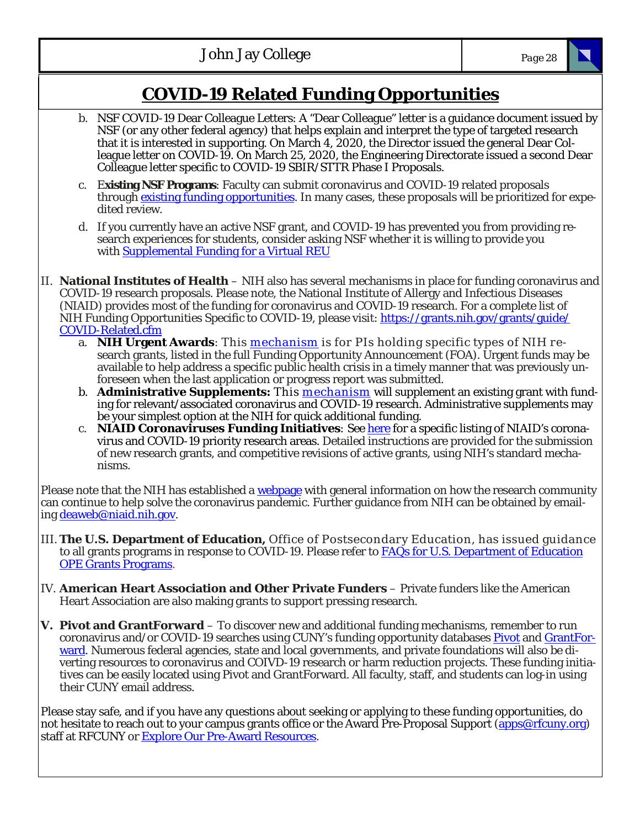# **COVID-19 Related Funding Opportunities**

- b. NSF COVID-19 Dear Colleague Letters: A "Dear Colleague" letter is a guidance document issued by NSF (or any other federal agency) that helps explain and interpret the type of targeted research that it is interested in supporting. On March 4, 2020, the Director issued the general Dear Colleague letter on COVID-19. On March 25, 2020, the Engineering Directorate issued a second Dear Colleague letter specific to COVID-19 SBIR/STTR Phase I Proposals.
- c. E**xisting NSF Programs**: Faculty can submit coronavirus and COVID-19 related proposals through existing funding opportunities. In many cases, these proposals will be prioritized for expedited review.
- d. If you currently have an active NSF grant, and COVID-19 has prevented you from providing research experiences for students, consider asking NSF whether it is willing to provide you with **Supplemental Funding for a Virtual REU**
- II. **National Institutes of Health**  NIH also has several mechanisms in place for funding coronavirus and COVID-19 research proposals. Please note, the National Institute of Allergy and Infectious Diseases (NIAID) provides most of the funding for coronavirus and COVID-19 research. For a complete list of NIH Funding Opportunities Specific to COVID-19, please visit: https://grants.nih.gov/grants/guide/ COVID-Related.cfm
	- a. **NIH Urgent Awards**: This mechanism is for PIs holding specific types of NIH research grants, listed in the full Funding Opportunity Announcement (FOA). Urgent funds may be available to help address a specific public health crisis in a timely manner that was previously unforeseen when the last application or progress report was submitted.
	- b. **Administrative Supplements:** This mechanism will supplement an existing grant with funding for relevant/associated coronavirus and COVID-19 research. Administrative supplements may be your simplest option at the NIH for quick additional funding.
	- c. **NIAID Coronaviruses Funding Initiatives**: See here for a specific listing of NIAID's coronavirus and COVID-19 priority research areas. Detailed instructions are provided for the submission of new research grants, and competitive revisions of active grants, using NIH's standard mechanisms.

Please note that the NIH has established a webpage with general information on how the research community can continue to help solve the coronavirus pandemic. Further guidance from NIH can be obtained by emailing deaweb@niaid.nih.gov.

- III. **The U.S. Department of Education,** Office of Postsecondary Education, has issued guidance to all grants programs in response to COVID-19. Please refer to **FAQs** for U.S. Department of Education OPE Grants Programs.
- IV. **American Heart Association and Other Private Funders**  Private funders like the American Heart Association are also making grants to support pressing research.
- **V. Pivot and GrantForward**  To discover new and additional funding mechanisms, remember to run coronavirus and/or COVID-19 searches using CUNY's funding opportunity databases Pivot and GrantForward. Numerous federal agencies, state and local governments, and private foundations will also be diverting resources to coronavirus and COIVD-19 research or harm reduction projects. These funding initiatives can be easily located using Pivot and GrantForward. All faculty, staff, and students can log-in using their CUNY email address.

Please stay safe, and if you have any questions about seeking or applying to these funding opportunities, do not hesitate to reach out to your campus grants office or the Award Pre-Proposal Support (apps@rfcuny.org) staff at RFCUNY or **Explore Our Pre-Award Resources.**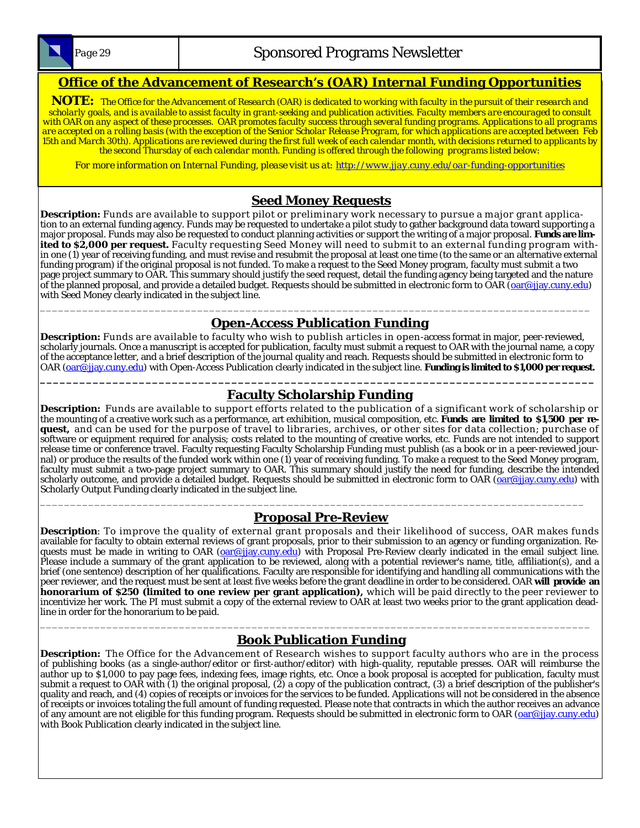

*Page 29* **Sponsored Programs Newsletter** 

### **Office of the Advancement of Research's (OAR) Internal Funding Opportunities**

**NOTE:** *The Office for the Advancement of Research (OAR) is dedicated to working with faculty in the pursuit of their research and scholarly goals, and is available to assist faculty in grant-seeking and publication activities. Faculty members are encouraged to consult with OAR on any aspect of these processes. OAR promotes faculty success through several funding programs. Applications to all programs are accepted on a rolling basis (with the exception of the Senior Scholar Release Program, for which applications are accepted between Feb 15th and March 30th). Applications are reviewed during the first full week of each calendar month, with decisions returned to applicants by the second Thursday of each calendar month. Funding is offered through the following programs listed below:* 

*For more information on Internal Funding, please visit us at: http://www.jjay.cuny.edu/oar-funding-opportunities*

### **Seed Money Requests**

**Description:** Funds are available to support pilot or preliminary work necessary to pursue a major grant application to an external funding agency. Funds may be requested to undertake a pilot study to gather background data toward supporting a major proposal. Funds may also be requested to conduct planning activities or support the writing of a major proposal. **Funds are limited to \$2,000 per request.** Faculty requesting Seed Money will need to submit to an external funding program within one (1) year of receiving funding, and must revise and resubmit the proposal at least one time (to the same or an alternative external funding program) if the original proposal is not funded. To make a request to the Seed Money program, faculty must submit a two page project summary to OAR. This summary should justify the seed request, detail the funding agency being targeted and the nature of the planned proposal, and provide a detailed budget. Requests should be submitted in electronic form to OAR (oar@jjay.cuny.edu) with Seed Money clearly indicated in the subject line.

#### \_\_\_\_\_\_\_\_\_\_\_\_\_\_\_\_\_\_\_\_\_\_\_\_\_\_\_\_\_\_\_\_\_\_\_\_\_\_\_\_\_\_\_\_\_\_\_\_\_\_\_\_\_\_\_\_\_\_\_\_\_\_\_\_\_\_\_\_\_\_\_\_\_\_\_\_\_\_\_\_\_\_\_\_\_\_\_\_\_\_\_ **Open-Access Publication Funding**

Description: Funds are available to faculty who wish to publish articles in open-access format in major, peer-reviewed, scholarly journals. Once a manuscript is accepted for publication, faculty must submit a request to OAR with the journal name, a copy of the acceptance letter, and a brief description of the journal quality and reach. Requests should be submitted in electronic form to OAR (oar@jjay.cuny.edu) with Open-Access Publication clearly indicated in the subject line. **Funding is limited to \$1,000 per request.** 

#### **\_\_\_\_\_\_\_\_\_\_\_\_\_\_\_\_\_\_\_\_\_\_\_\_\_\_\_\_\_\_\_\_\_\_\_\_\_\_\_\_\_\_\_\_\_\_\_\_\_\_\_\_\_\_\_\_\_\_\_\_\_\_\_\_\_\_\_\_\_\_\_\_\_\_\_\_\_\_\_\_\_\_\_\_ Faculty Scholarship Funding**

**Description:** Funds are available to support efforts related to the publication of a significant work of scholarship or the mounting of a creative work such as a performance, art exhibition, musical composition, etc. **Funds are limited to \$1,500 per request,** and can be used for the purpose of travel to libraries, archives, or other sites for data collection; purchase of software or equipment required for analysis; costs related to the mounting of creative works, etc. Funds are not intended to support release time or conference travel. Faculty requesting Faculty Scholarship Funding must publish (as a book or in a peer-reviewed journal) or produce the results of the funded work within one (1) year of receiving funding. To make a request to the Seed Money program, faculty must submit a two-page project summary to OAR. This summary should justify the need for funding, describe the intended scholarly outcome, and provide a detailed budget. Requests should be submitted in electronic form to OAR (oar@jjay.cuny.edu) with Scholarly Output Funding clearly indicated in the subject line.

### **Proposal Pre-Review**

\_\_\_\_\_\_\_\_\_\_\_\_\_\_\_\_\_\_\_\_\_\_\_\_\_\_\_\_\_\_\_\_\_\_\_\_\_\_\_\_\_\_\_\_\_\_\_\_\_\_\_\_\_\_\_\_\_\_\_\_\_\_\_\_\_\_\_\_\_\_\_\_\_\_\_\_\_\_\_\_\_\_\_\_\_\_\_\_\_\_

**Description**: To improve the quality of external grant proposals and their likelihood of success, OAR makes funds available for faculty to obtain external reviews of grant proposals, prior to their submission to an agency or funding organization. Requests must be made in writing to OAR (oar@jjay.cuny.edu) with Proposal Pre-Review clearly indicated in the email subject line. Please include a summary of the grant application to be reviewed, along with a potential reviewer's name, title, affiliation(s), and a brief (one sentence) description of her qualifications. Faculty are responsible for identifying and handling all communications with the peer reviewer, and the request must be sent at least five weeks before the grant deadline in order to be considered. OAR **will provide an honorarium of \$250 (limited to one review per grant application),** which will be paid directly to the peer reviewer to incentivize her work. The PI must submit a copy of the external review to OAR at least two weeks prior to the grant application deadline in order for the honorarium to be paid.

### \_\_\_\_\_\_\_\_\_\_\_\_\_\_\_\_\_\_\_\_\_\_\_\_\_\_\_\_\_\_\_\_\_\_\_\_\_\_\_\_\_\_\_\_\_\_\_\_\_\_\_\_\_\_\_\_\_\_\_\_\_\_\_\_\_\_\_\_\_\_\_\_\_\_\_\_\_\_\_\_\_\_\_\_\_\_\_\_\_\_\_ **Book Publication Funding**

**Description:** The Office for the Advancement of Research wishes to support faculty authors who are in the process of publishing books (as a single-author/editor or first-author/editor) with high-quality, reputable presses. OAR will reimburse the author up to \$1,000 to pay page fees, indexing fees, image rights, etc. Once a book proposal is accepted for publication, faculty must submit a request to OAR with (1) the original proposal, (2) a copy of the publication contract, (3) a brief description of the publisher's quality and reach, and (4) copies of receipts or invoices for the services to be funded. Applications will not be considered in the absence of receipts or invoices totaling the full amount of funding requested. Please note that contracts in which the author receives an advance of any amount are not eligible for this funding program. Requests should be submitted in electronic form to OAR (oar@jjay.cuny.edu) with Book Publication clearly indicated in the subject line.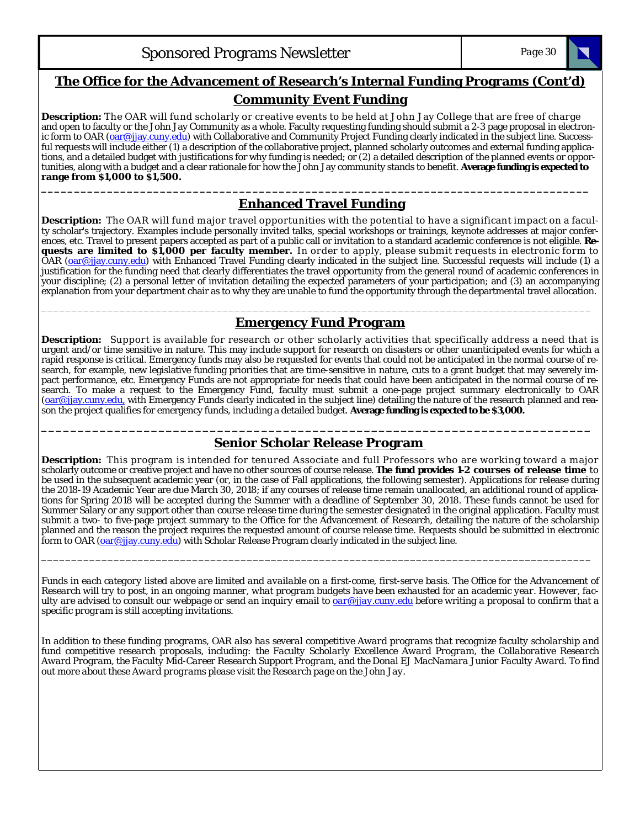

### **The Office for the Advancement of Research's Internal Funding Programs (Cont'd)**

#### **Community Event Funding**

**Description:** The OAR will fund scholarly or creative events to be held at John Jay College that are free of charge and open to faculty or the John Jay Community as a whole. Faculty requesting funding should submit a 2-3 page proposal in electronic form to OAR (oar@jjay.cuny.edu) with Collaborative and Community Project Funding clearly indicated in the subject line. Successful requests will include either (1) a description of the collaborative project, planned scholarly outcomes and external funding applications, and a detailed budget with justifications for why funding is needed; or (2) a detailed description of the planned events or opportunities, along with a budget and a clear rationale for how the John Jay community stands to benefit. **Average funding is expected to range from \$1,000 to \$1,500.** 

### **Enhanced Travel Funding**

**\_\_\_\_\_\_\_\_\_\_\_\_\_\_\_\_\_\_\_\_\_\_\_\_\_\_\_\_\_\_\_\_\_\_\_\_\_\_\_\_\_\_\_\_\_\_\_\_\_\_\_\_\_\_\_\_\_\_\_\_\_\_\_\_\_\_\_\_\_\_\_\_\_\_\_\_\_\_\_\_\_\_\_** 

**Description:** The OAR will fund major travel opportunities with the potential to have a significant impact on a faculty scholar's trajectory. Examples include personally invited talks, special workshops or trainings, keynote addresses at major conferences, etc. Travel to present papers accepted as part of a public call or invitation to a standard academic conference is not eligible. **Requests are limited to \$1,000 per faculty member.** In order to apply, please submit requests in electronic form to OAR (oar@jjay.cuny.edu) with Enhanced Travel Funding clearly indicated in the subject line. Successful requests will include (1) a justification for the funding need that clearly differentiates the travel opportunity from the general round of academic conferences in your discipline; (2) a personal letter of invitation detailing the expected parameters of your participation; and (3) an accompanying explanation from your department chair as to why they are unable to fund the opportunity through the departmental travel allocation.

#### \_\_\_\_\_\_\_\_\_\_\_\_\_\_\_\_\_\_\_\_\_\_\_\_\_\_\_\_\_\_\_\_\_\_\_\_\_\_\_\_\_\_\_\_\_\_\_\_\_\_\_\_\_\_\_\_\_\_\_\_\_\_\_\_\_\_\_\_\_\_\_\_\_\_\_\_\_\_\_\_\_\_\_\_\_\_\_\_\_\_\_ **Emergency Fund Program**

**Description:** Support is available for research or other scholarly activities that specifically address a need that is urgent and/or time sensitive in nature. This may include support for research on disasters or other unanticipated events for which a rapid response is critical. Emergency funds may also be requested for events that could not be anticipated in the normal course of research, for example, new legislative funding priorities that are time-sensitive in nature, cuts to a grant budget that may severely impact performance, etc. Emergency Funds are not appropriate for needs that could have been anticipated in the normal course of research. To make a request to the Emergency Fund, faculty must submit a one-page project summary electronically to OAR (oar@jjay.cuny.edu, with Emergency Funds clearly indicated in the subject line) detailing the nature of the research planned and reason the project qualifies for emergency funds, including a detailed budget. **Average funding is expected to be \$3,000.** 

### **\_\_\_\_\_\_\_\_\_\_\_\_\_\_\_\_\_\_\_\_\_\_\_\_\_\_\_\_\_\_\_\_\_\_\_\_\_\_\_\_\_\_\_\_\_\_\_\_\_\_\_\_\_\_\_\_\_\_\_\_\_\_\_\_\_\_\_\_\_\_\_\_\_\_\_ Senior Scholar Release Program**

**Description:** This program is intended for tenured Associate and full Professors who are working toward a major scholarly outcome or creative project and have no other sources of course release. **The fund provides 1-2 courses of release time** to be used in the subsequent academic year (or, in the case of Fall applications, the following semester). Applications for release during the 2018-19 Academic Year are due March 30, 2018; if any courses of release time remain unallocated, an additional round of applications for Spring 2018 will be accepted during the Summer with a deadline of September 30, 2018. These funds cannot be used for Summer Salary or any support other than course release time during the semester designated in the original application. Faculty must submit a two- to five-page project summary to the Office for the Advancement of Research, detailing the nature of the scholarship planned and the reason the project requires the requested amount of course release time. Requests should be submitted in electronic form to OAR (oar@jjay.cuny.edu) with Scholar Release Program clearly indicated in the subject line.

*Funds in each category listed above are limited and available on a first-come, first-serve basis. The Office for the Advancement of Research will try to post, in an ongoing manner, what program budgets have been exhausted for an academic year. However, faculty are advised to consult our webpage or send an inquiry email to oar@jjay.cuny.edu before writing a proposal to confirm that a specific program is still accepting invitations.* 

\_\_\_\_\_\_\_\_\_\_\_\_\_\_\_\_\_\_\_\_\_\_\_\_\_\_\_\_\_\_\_\_\_\_\_\_\_\_\_\_\_\_\_\_\_\_\_\_\_\_\_\_\_\_\_\_\_\_\_\_\_\_\_\_\_\_\_\_\_\_\_\_\_\_\_\_\_\_\_\_\_\_\_\_\_\_\_\_\_\_\_

*In addition to these funding programs, OAR also has several competitive Award programs that recognize faculty scholarship and fund competitive research proposals, including: the Faculty Scholarly Excellence Award Program, the Collaborative Research Award Program, the Faculty Mid-Career Research Support Program, and the Donal EJ MacNamara Junior Faculty Award. To find out more about these Award programs please visit the Research page on the John Jay.*